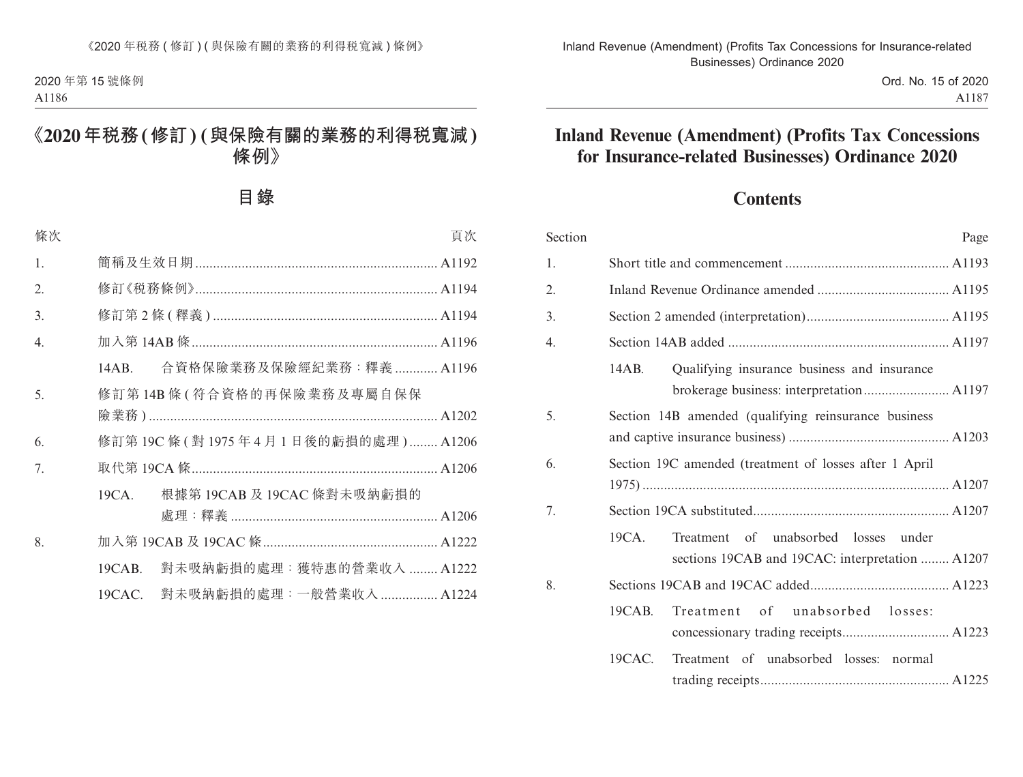# **Contents**

| Section | Page                                                                                             |  |  |
|---------|--------------------------------------------------------------------------------------------------|--|--|
| 1.      |                                                                                                  |  |  |
| 2.      |                                                                                                  |  |  |
| 3.      |                                                                                                  |  |  |
| 4.      |                                                                                                  |  |  |
|         | Qualifying insurance business and insurance<br>14AB.                                             |  |  |
| 5.      | Section 14B amended (qualifying reinsurance business                                             |  |  |
| 6.      | Section 19C amended (treatment of losses after 1 April                                           |  |  |
| 7.      |                                                                                                  |  |  |
|         | 19CA.<br>Treatment of unabsorbed losses under<br>sections 19CAB and 19CAC: interpretation  A1207 |  |  |
| 8.      |                                                                                                  |  |  |
|         | of unabsorbed losses:<br>19CAB.<br>Treatment                                                     |  |  |
|         | $19CAC$ .<br>Treatment of unabsorbed losses:<br>normal                                           |  |  |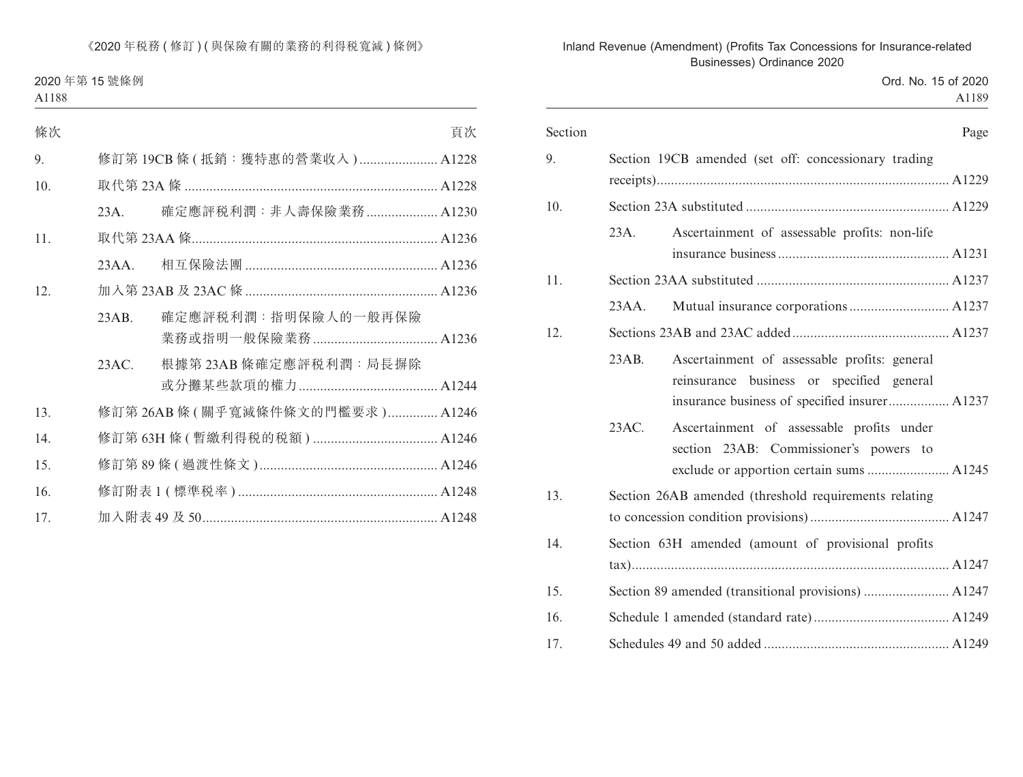| Section |         | Page                                                  |
|---------|---------|-------------------------------------------------------|
| 9.      |         | Section 19CB amended (set off: concessionary trading  |
|         |         |                                                       |
| 10.     |         |                                                       |
|         | $23A$ . | Ascertainment of assessable profits: non-life         |
|         |         |                                                       |
| 11.     |         |                                                       |
|         | 23AA.   |                                                       |
| 12.     |         |                                                       |
|         | 23AB.   | Ascertainment of assessable profits: general          |
|         |         | reinsurance business or specified general             |
|         |         | insurance business of specified insurer A1237         |
|         | 23AC.   | Ascertainment of assessable profits under             |
|         |         | section 23AB: Commissioner's powers to                |
|         |         |                                                       |
| 13.     |         | Section 26AB amended (threshold requirements relating |
|         |         |                                                       |
| 14.     |         | Section 63H amended (amount of provisional profits    |
|         |         |                                                       |
| 15.     |         |                                                       |
| 16.     |         |                                                       |
| 17.     |         |                                                       |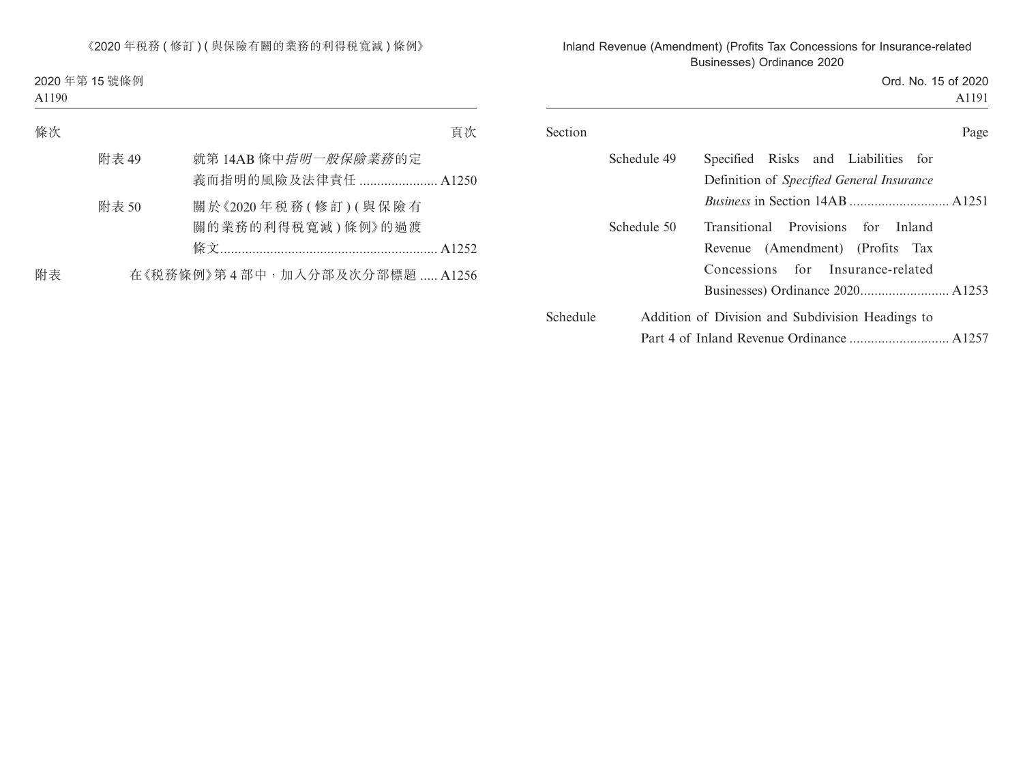Ord. No. 15 of 2020 A1191

|          | Schedule 49 | Specified Risks and Liabilities for<br>Definition of <i>Specified General Insurance</i>                     |
|----------|-------------|-------------------------------------------------------------------------------------------------------------|
|          |             |                                                                                                             |
|          | Schedule 50 | Transitional Provisions for Inland<br>Revenue (Amendment) (Profits Tax<br>Concessions for Insurance-related |
|          |             |                                                                                                             |
| Schedule |             | Addition of Division and Subdivision Headings to                                                            |
|          |             |                                                                                                             |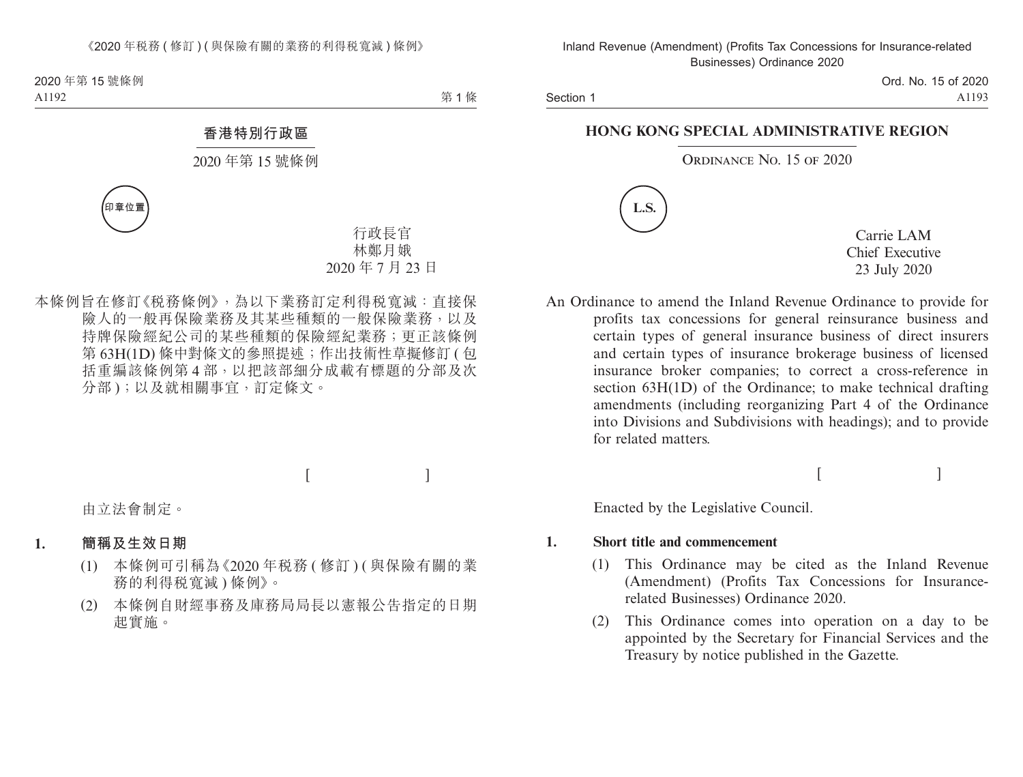Section 1

Ord. No. 15 of 2020 A1193

### **HONG KONG SPECIAL ADMINISTRATIVE REGION**

### ORDINANCE NO. 15 OF 2020



Carrie LAM Chief Executive 23 July 2020

An Ordinance to amend the Inland Revenue Ordinance to provide for profits tax concessions for general reinsurance business and certain types of general insurance business of direct insurers and certain types of insurance brokerage business of licensed insurance broker companies; to correct a cross-reference in section 63H(1D) of the Ordinance; to make technical drafting amendments (including reorganizing Part 4 of the Ordinance into Divisions and Subdivisions with headings); and to provide for related matters.

 $[$   $]$ 

Enacted by the Legislative Council.

### **1. Short title and commencement**

- (1) This Ordinance may be cited as the Inland Revenue (Amendment) (Profits Tax Concessions for Insurancerelated Businesses) Ordinance 2020.
- (2) This Ordinance comes into operation on a day to be appointed by the Secretary for Financial Services and the Treasury by notice published in the Gazette.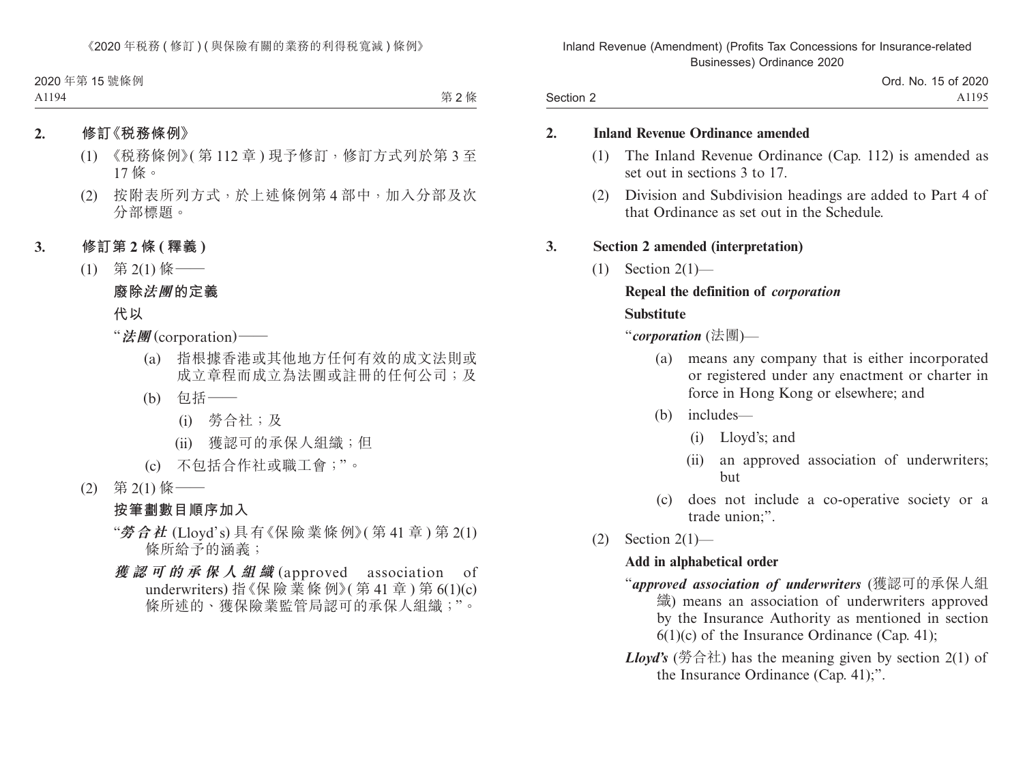### **2. Inland Revenue Ordinance amended**

Section 2

- (1) The Inland Revenue Ordinance (Cap. 112) is amended as set out in sections 3 to 17.
- (2) Division and Subdivision headings are added to Part 4 of that Ordinance as set out in the Schedule.

### **3. Section 2 amended (interpretation)**

 $(1)$  Section  $2(1)$ —

## **Repeal the definition of** *corporation*

#### **Substitute**

"*corporation* (法團)—

- (a) means any company that is either incorporated or registered under any enactment or charter in force in Hong Kong or elsewhere; and
- (b) includes—
	- (i) Lloyd's; and
	- (ii) an approved association of underwriters; but
- (c) does not include a co-operative society or a trade union;".
- $(2)$  Section  $2(1)$ —

## **Add in alphabetical order**

- "*approved association of underwriters* (獲認可的承保人組 織) means an association of underwriters approved by the Insurance Authority as mentioned in section  $6(1)(c)$  of the Insurance Ordinance (Cap. 41);
- *Lloyd's* (勞合社) has the meaning given by section 2(1) of the Insurance Ordinance (Cap. 41);".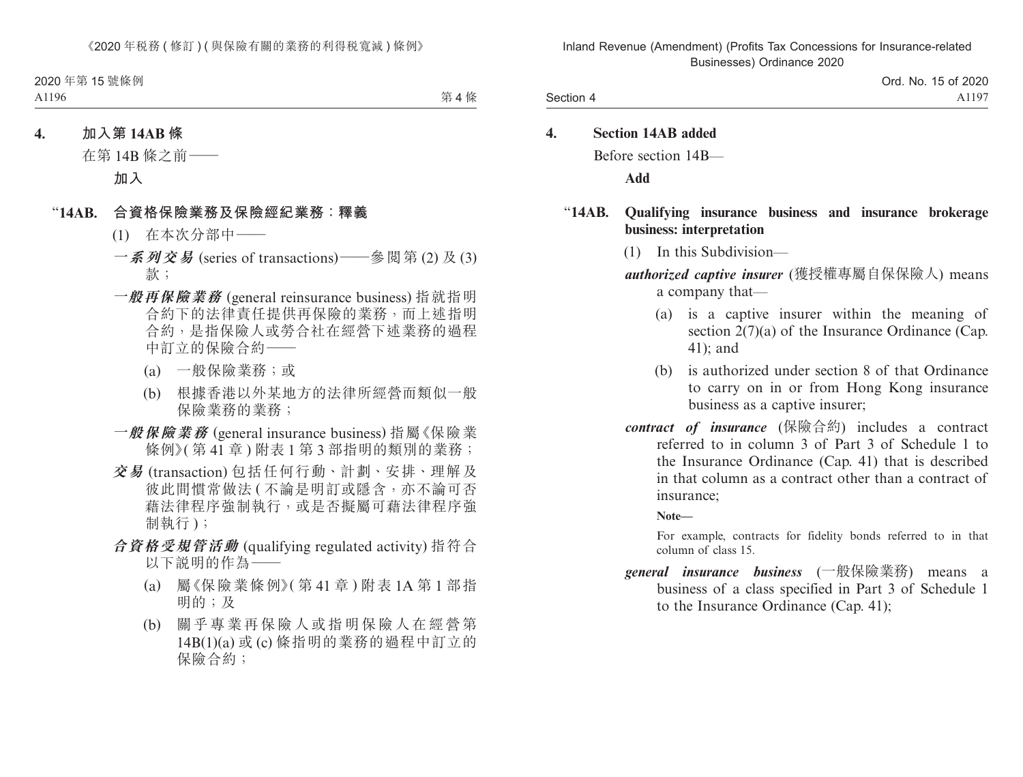**4. Section 14AB added** Before section 14B—

**Add**

### "**14AB. Qualifying insurance business and insurance brokerage business: interpretation**

(1) In this Subdivision—

*authorized captive insurer* (獲授權專屬自保保險人) means a company that—

- (a) is a captive insurer within the meaning of section 2(7)(a) of the Insurance Ordinance (Cap. 41); and
- (b) is authorized under section 8 of that Ordinance to carry on in or from Hong Kong insurance business as a captive insurer;
- *contract of insurance* (保險合約) includes a contract referred to in column 3 of Part 3 of Schedule 1 to the Insurance Ordinance (Cap. 41) that is described in that column as a contract other than a contract of insurance;

### **Note—**

For example, contracts for fidelity bonds referred to in that column of class 15.

*general insurance business* (一般保險業務) means a business of a class specified in Part 3 of Schedule 1 to the Insurance Ordinance (Cap. 41);

Section 4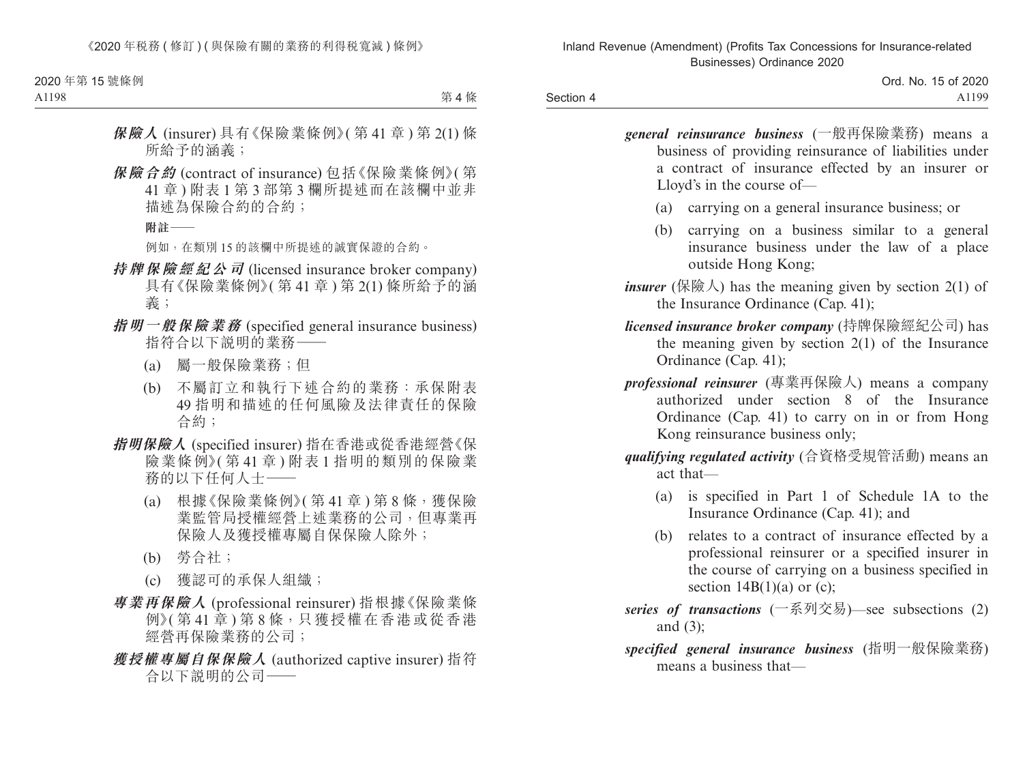Section 4

*general reinsurance business* (一般再保險業務) means a business of providing reinsurance of liabilities under a contract of insurance effected by an insurer or Lloyd's in the course of—

- (a) carrying on a general insurance business; or
- (b) carrying on a business similar to a general insurance business under the law of a place outside Hong Kong;

*insurer* (保險人) has the meaning given by section  $2(1)$  of the Insurance Ordinance (Cap. 41);

- *licensed insurance broker company* (持牌保險經紀公司) has the meaning given by section 2(1) of the Insurance Ordinance (Cap. 41);
- *professional reinsurer* (專業再保險人) means a company authorized under section 8 of the Insurance Ordinance (Cap. 41) to carry on in or from Hong Kong reinsurance business only;

*qualifying regulated activity* (合資格受規管活動) means an act that—

- (a) is specified in Part 1 of Schedule 1A to the Insurance Ordinance (Cap. 41); and
- (b) relates to a contract of insurance effected by a professional reinsurer or a specified insurer in the course of carrying on a business specified in section  $14B(1)(a)$  or (c);
- *series of transactions* (一系列交易)—see subsections (2) and (3);
- *specified general insurance business* (指明一般保險業務) means a business that—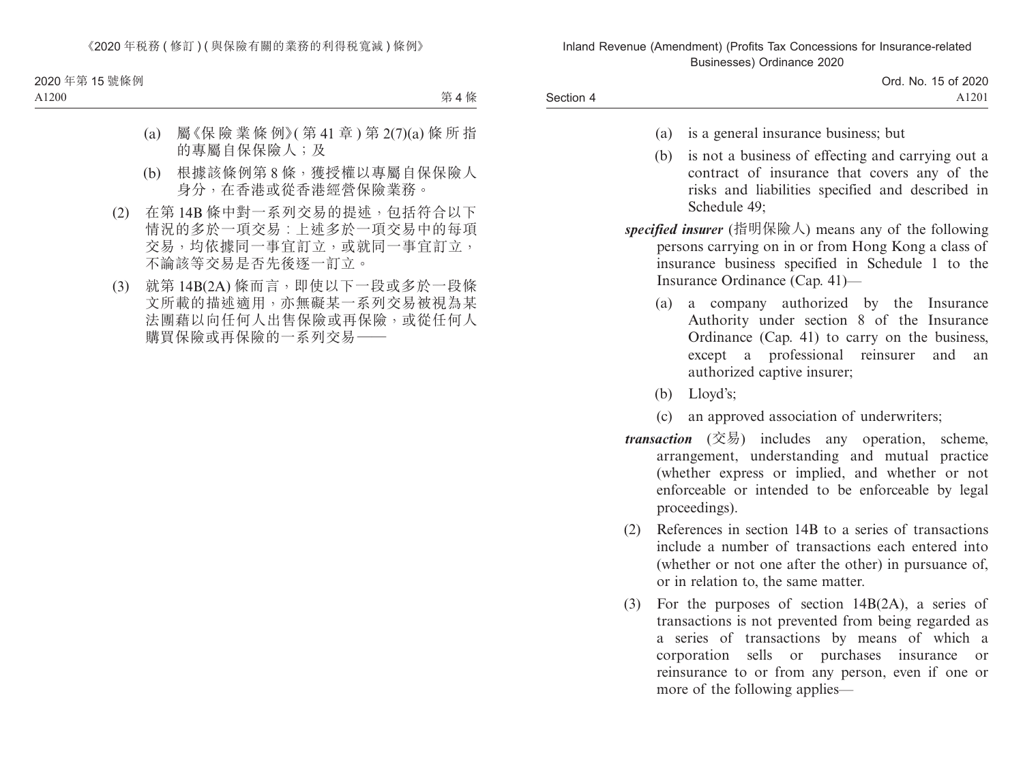- (a) is a general insurance business; but
- (b) is not a business of effecting and carrying out a contract of insurance that covers any of the risks and liabilities specified and described in Schedule 49;

*specified insurer* (指明保險人) means any of the following persons carrying on in or from Hong Kong a class of insurance business specified in Schedule 1 to the Insurance Ordinance (Cap. 41)—

- (a) a company authorized by the Insurance Authority under section 8 of the Insurance Ordinance (Cap. 41) to carry on the business, except a professional reinsurer and an authorized captive insurer;
- (b) Lloyd's;

Section 4

- (c) an approved association of underwriters;
- *transaction* (交易) includes any operation, scheme, arrangement, understanding and mutual practice (whether express or implied, and whether or not enforceable or intended to be enforceable by legal proceedings).
- (2) References in section 14B to a series of transactions include a number of transactions each entered into (whether or not one after the other) in pursuance of, or in relation to, the same matter.
- (3) For the purposes of section 14B(2A), a series of transactions is not prevented from being regarded as a series of transactions by means of which a corporation sells or purchases insurance or reinsurance to or from any person, even if one or more of the following applies—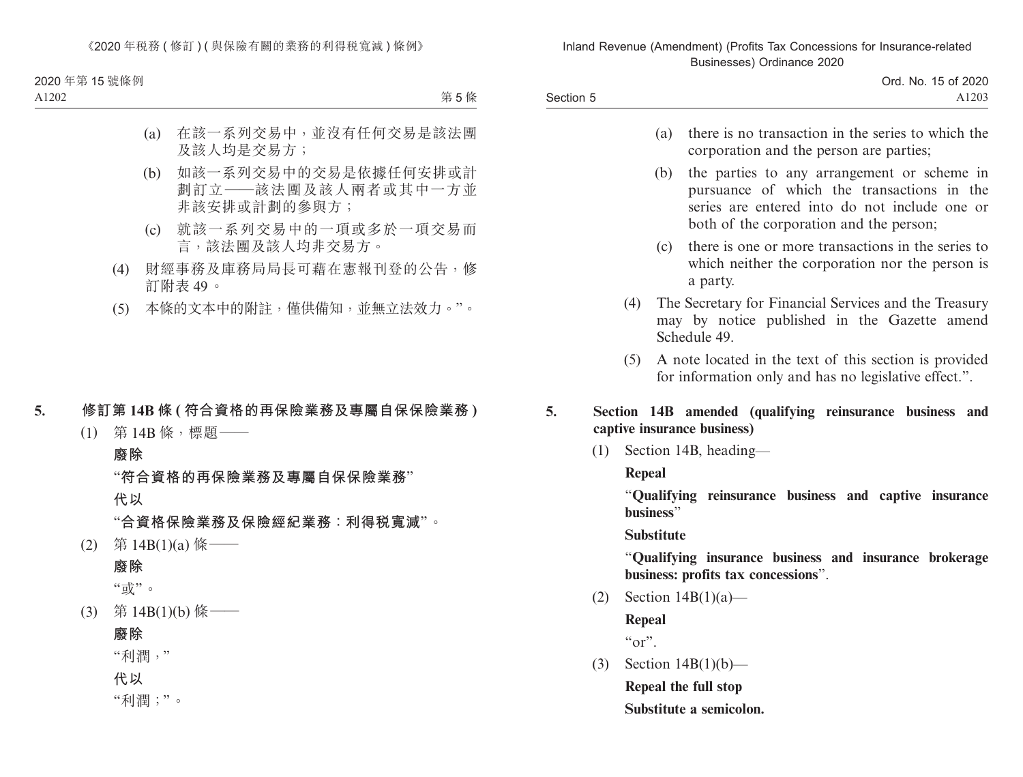> Ord. No. 15 of 2020 A1203

- (a) there is no transaction in the series to which the corporation and the person are parties;
- (b) the parties to any arrangement or scheme in pursuance of which the transactions in the series are entered into do not include one or both of the corporation and the person;
- (c) there is one or more transactions in the series to which neither the corporation nor the person is a party.
- (4) The Secretary for Financial Services and the Treasury may by notice published in the Gazette amend Schedule 49.
- (5) A note located in the text of this section is provided for information only and has no legislative effect.".

### **5. Section 14B amended (qualifying reinsurance business and captive insurance business)**

(1) Section 14B, heading—

### **Repeal**

Section 5

"**Qualifying reinsurance business and captive insurance business**"

**Substitute**

"**Qualifying insurance business and insurance brokerage business: profits tax concessions**".

(2) Section 14B(1)(a)—

**Repeal**  $\alpha_{\rm O}r$ ".

(3) Section 14B(1)(b)—

**Repeal the full stop Substitute a semicolon.**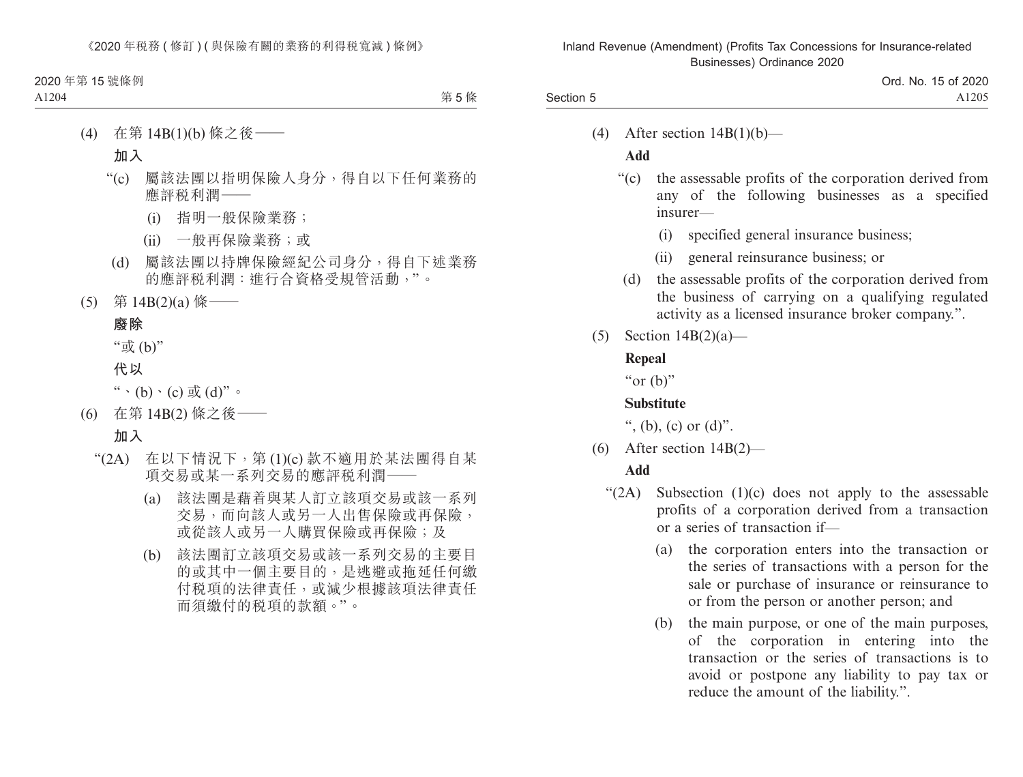(4) After section  $14B(1)(b)$ —

## **Add**

Section 5

- "(c) the assessable profits of the corporation derived from any of the following businesses as a specified insurer—
	- (i) specified general insurance business;
	- (ii) general reinsurance business; or
- (d) the assessable profits of the corporation derived from the business of carrying on a qualifying regulated activity as a licensed insurance broker company.".
- (5) Section 14B(2)(a)—

## **Repeal**

" $or$  (b)"

## **Substitute**

", (b), (c) or  $(d)$ ".

(6) After section 14B(2)—

- " $(2A)$  Subsection  $(1)(c)$  does not apply to the assessable profits of a corporation derived from a transaction or a series of transaction if—
	- (a) the corporation enters into the transaction or the series of transactions with a person for the sale or purchase of insurance or reinsurance to or from the person or another person; and
	- (b) the main purpose, or one of the main purposes, of the corporation in entering into the transaction or the series of transactions is to avoid or postpone any liability to pay tax or reduce the amount of the liability.".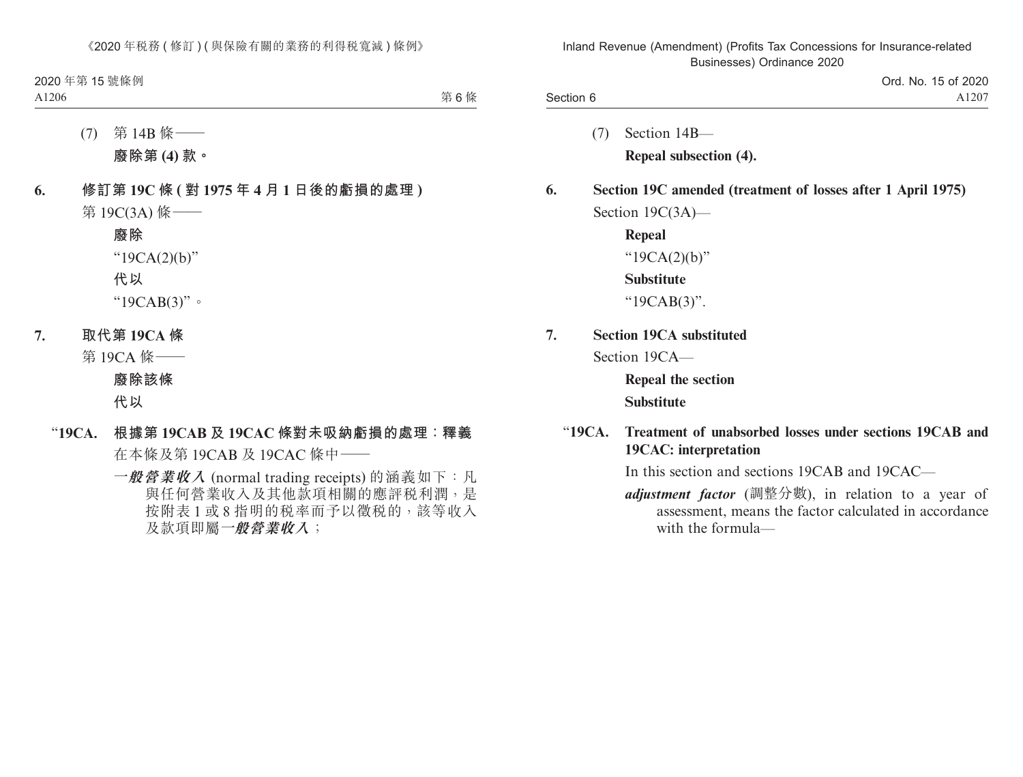|           | Ord. No. 15 of 2020 |
|-----------|---------------------|
| Section 6 | A <sub>1207</sub>   |

- (7) Section 14B— **Repeal subsection (4).**
- **6. Section 19C amended (treatment of losses after 1 April 1975)** Section 19C(3A)—
	- **Repeal** "19CA(2)(b)" **Substitute** "19CAB(3)".
- **7. Section 19CA substituted** Section 19CA—

**Repeal the section Substitute**

"**19CA. Treatment of unabsorbed losses under sections 19CAB and 19CAC: interpretation**

In this section and sections 19CAB and 19CAC—

*adjustment factor* (調整分數), in relation to a year of assessment, means the factor calculated in accordance with the formula—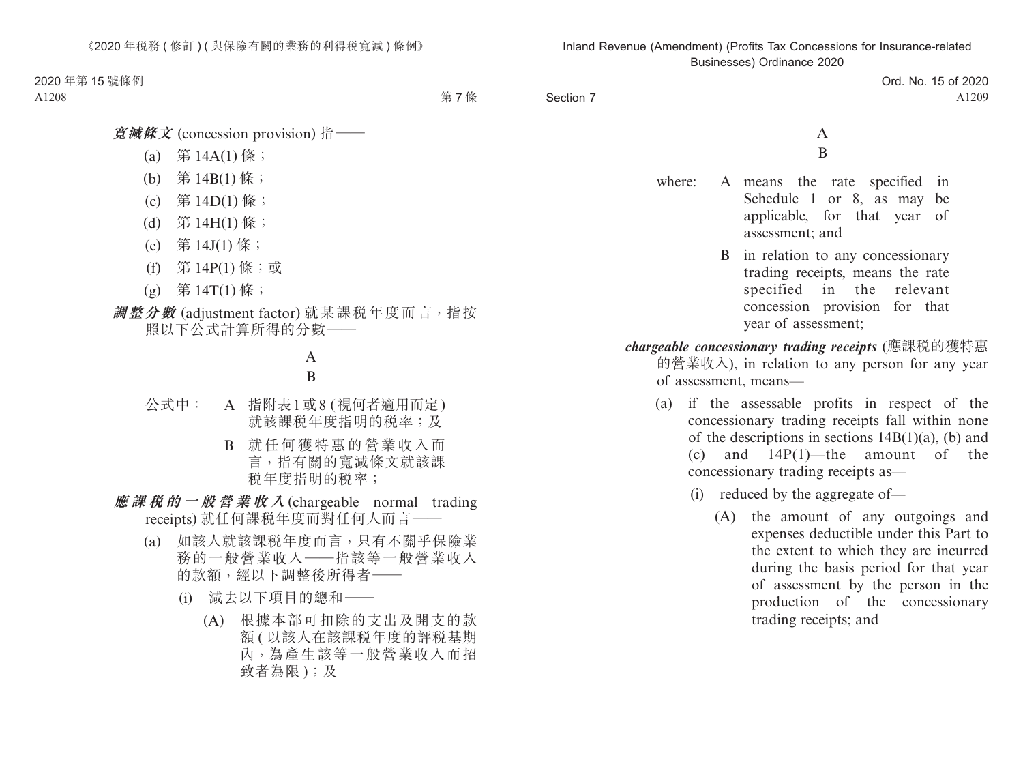> Ord. No. 15 of 2020 A1209

Section 7

A B

- where: A means the rate specified in Schedule 1 or 8, as may be applicable, for that year of assessment; and
	- B in relation to any concessionary trading receipts, means the rate specified in the relevant concession provision for that year of assessment;

*chargeable concessionary trading receipts* (應課稅的獲特惠 的營業收入), in relation to any person for any year of assessment, means—

- (a) if the assessable profits in respect of the concessionary trading receipts fall within none of the descriptions in sections  $14B(1)(a)$ , (b) and (c) and 14P(1)—the amount of the concessionary trading receipts as—
	- (i) reduced by the aggregate of—
		- (A) the amount of any outgoings and expenses deductible under this Part to the extent to which they are incurred during the basis period for that year of assessment by the person in the production of the concessionary trading receipts; and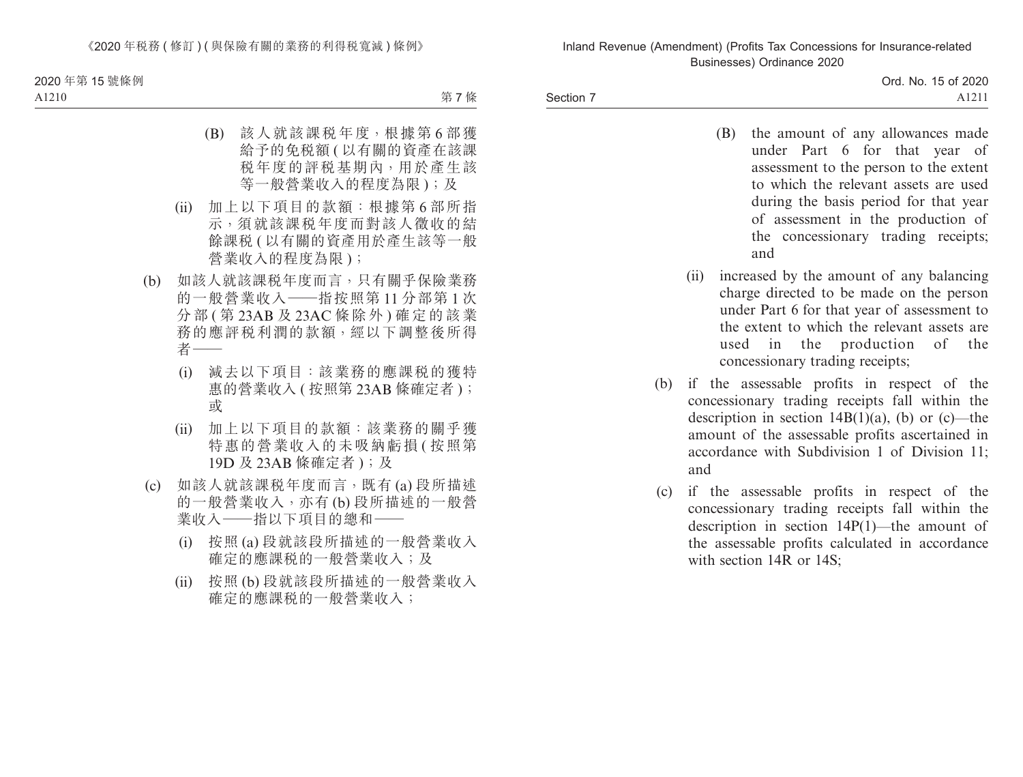Section 7

- (B) the amount of any allowances made under Part 6 for that year of assessment to the person to the extent to which the relevant assets are used during the basis period for that year of assessment in the production of the concessionary trading receipts; and
- (ii) increased by the amount of any balancing charge directed to be made on the person under Part 6 for that year of assessment to the extent to which the relevant assets are used in the production of the concessionary trading receipts;
- (b) if the assessable profits in respect of the concessionary trading receipts fall within the description in section  $14B(1)(a)$ , (b) or (c)—the amount of the assessable profits ascertained in accordance with Subdivision 1 of Division 11; and
- (c) if the assessable profits in respect of the concessionary trading receipts fall within the description in section 14P(1)—the amount of the assessable profits calculated in accordance with section 14R or 14S;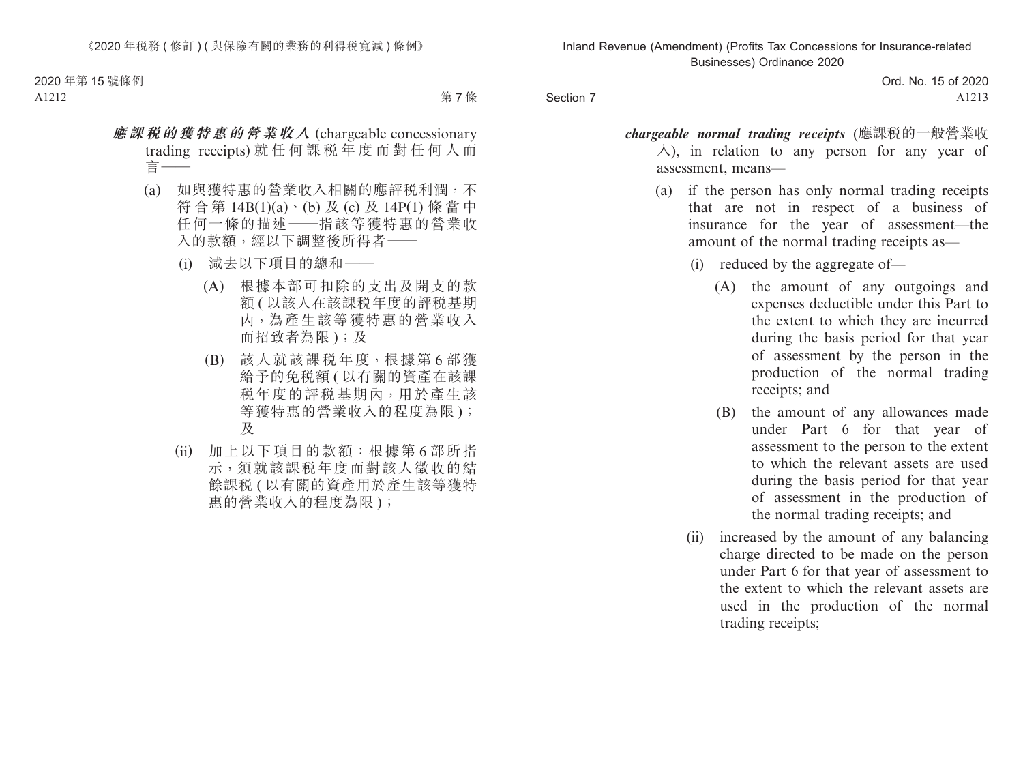Section 7

Ord. No. 15 of 2020 A1213

- *chargeable normal trading receipts* (應課稅的一般營業收  $\lambda$ ), in relation to any person for any year of assessment, means—
	- (a) if the person has only normal trading receipts that are not in respect of a business of insurance for the year of assessment—the amount of the normal trading receipts as—
		- (i) reduced by the aggregate of—
			- (A) the amount of any outgoings and expenses deductible under this Part to the extent to which they are incurred during the basis period for that year of assessment by the person in the production of the normal trading receipts; and
			- (B) the amount of any allowances made under Part 6 for that year of assessment to the person to the extent to which the relevant assets are used during the basis period for that year of assessment in the production of the normal trading receipts; and
		- (ii) increased by the amount of any balancing charge directed to be made on the person under Part 6 for that year of assessment to the extent to which the relevant assets are used in the production of the normal trading receipts;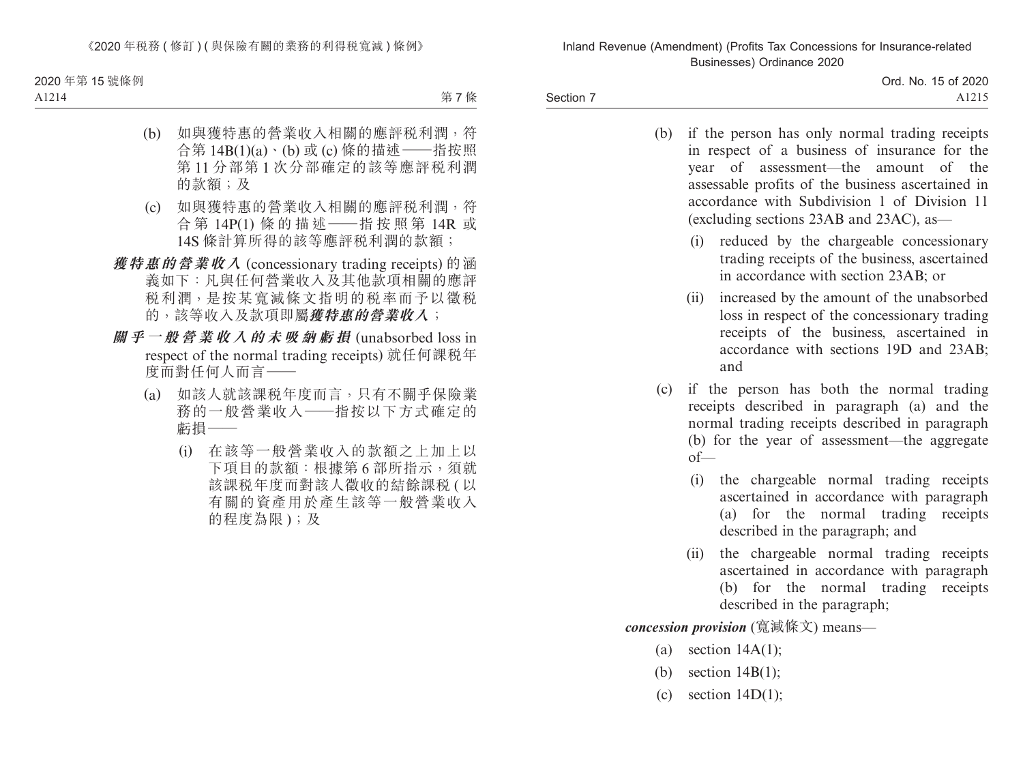Section 7

Ord. No. 15 of 2020 A1215

- (b) if the person has only normal trading receipts in respect of a business of insurance for the year of assessment—the amount of the assessable profits of the business ascertained in accordance with Subdivision 1 of Division 11 (excluding sections 23AB and 23AC), as—
	- (i) reduced by the chargeable concessionary trading receipts of the business, ascertained in accordance with section 23AB; or
	- (ii) increased by the amount of the unabsorbed loss in respect of the concessionary trading receipts of the business, ascertained in accordance with sections 19D and 23AB; and
- (c) if the person has both the normal trading receipts described in paragraph (a) and the normal trading receipts described in paragraph (b) for the year of assessment—the aggregate  $of$ 
	- (i) the chargeable normal trading receipts ascertained in accordance with paragraph (a) for the normal trading receipts described in the paragraph; and
	- (ii) the chargeable normal trading receipts ascertained in accordance with paragraph (b) for the normal trading receipts described in the paragraph;

*concession provision* (寬減條文) means—

- (a) section  $14A(1)$ ;
- (b) section 14B(1);
- (c) section  $14D(1)$ ;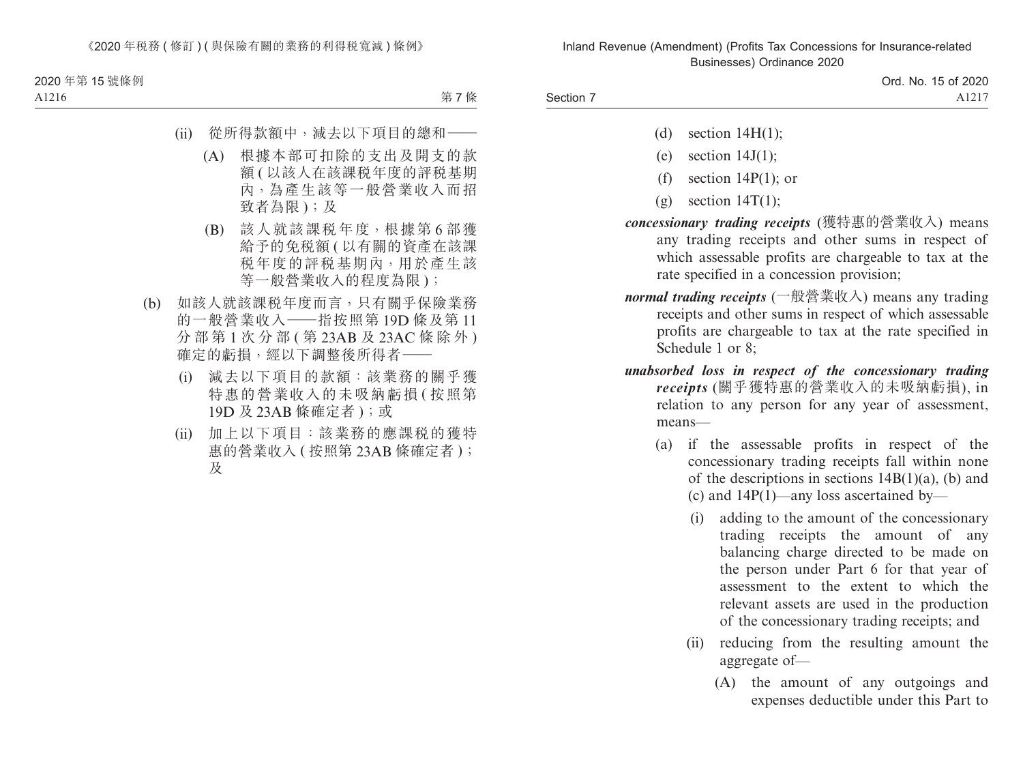(d) section  $14H(1)$ ;

Section 7

- (e) section  $14J(1)$ ;
- (f) section 14P(1); or
- $(g)$  section 14T(1);
- *concessionary trading receipts* (獲特惠的營業收入) means any trading receipts and other sums in respect of which assessable profits are chargeable to tax at the rate specified in a concession provision;
- *normal trading receipts* (一般營業收入) means any trading receipts and other sums in respect of which assessable profits are chargeable to tax at the rate specified in Schedule 1 or 8;
- *unabsorbed loss in respect of the concessionary trading receipts* (關乎獲特惠的營業收入的未吸納虧損), in relation to any person for any year of assessment, means—
	- (a) if the assessable profits in respect of the concessionary trading receipts fall within none of the descriptions in sections  $14B(1)(a)$ , (b) and (c) and 14P(1)—any loss ascertained by—
		- (i) adding to the amount of the concessionary trading receipts the amount of any balancing charge directed to be made on the person under Part 6 for that year of assessment to the extent to which the relevant assets are used in the production of the concessionary trading receipts; and
		- (ii) reducing from the resulting amount the aggregate of—
			- (A) the amount of any outgoings and expenses deductible under this Part to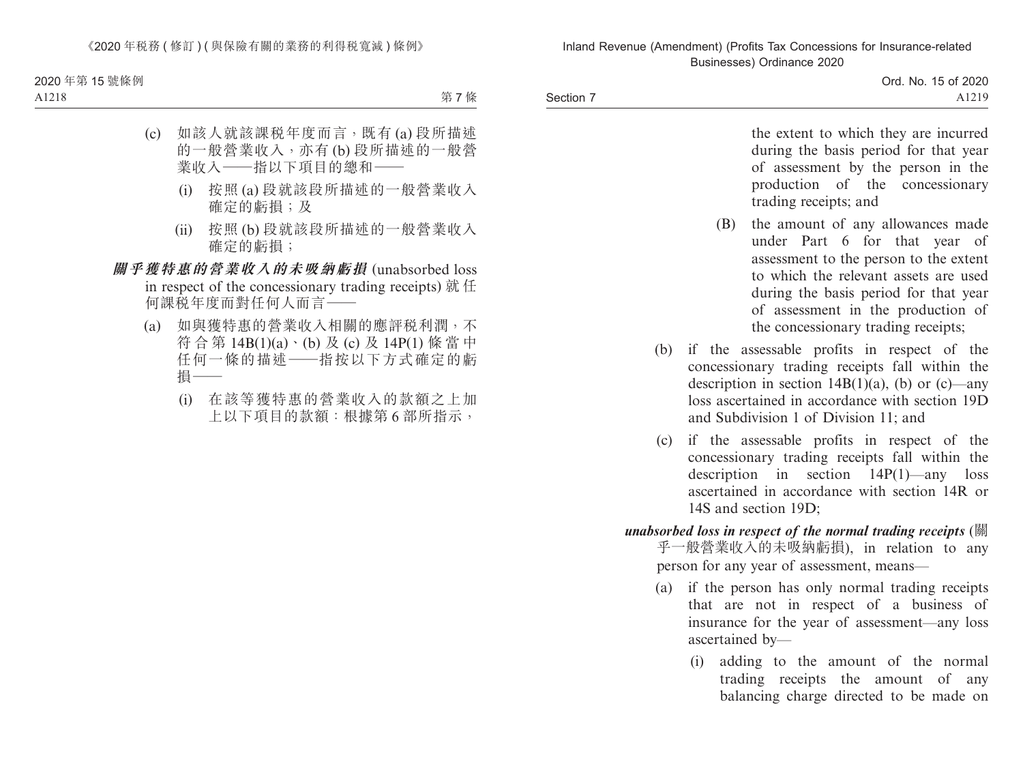Section 7

Ord. No. 15 of 2020 A1219

the extent to which they are incurred during the basis period for that year of assessment by the person in the production of the concessionary trading receipts; and

- (B) the amount of any allowances made under Part 6 for that year of assessment to the person to the extent to which the relevant assets are used during the basis period for that year of assessment in the production of the concessionary trading receipts;
- (b) if the assessable profits in respect of the concessionary trading receipts fall within the description in section  $14B(1)(a)$ , (b) or (c)—any loss ascertained in accordance with section 19D and Subdivision 1 of Division 11; and
- (c) if the assessable profits in respect of the concessionary trading receipts fall within the description in section  $14P(1)$ —any loss ascertained in accordance with section 14R or 14S and section 19D;
- *unabsorbed loss in respect of the normal trading receipts* (關 乎一般營業收入的未吸納虧損), in relation to any person for any year of assessment, means—
	- (a) if the person has only normal trading receipts that are not in respect of a business of insurance for the year of assessment—any loss ascertained by—
		- (i) adding to the amount of the normal trading receipts the amount of any balancing charge directed to be made on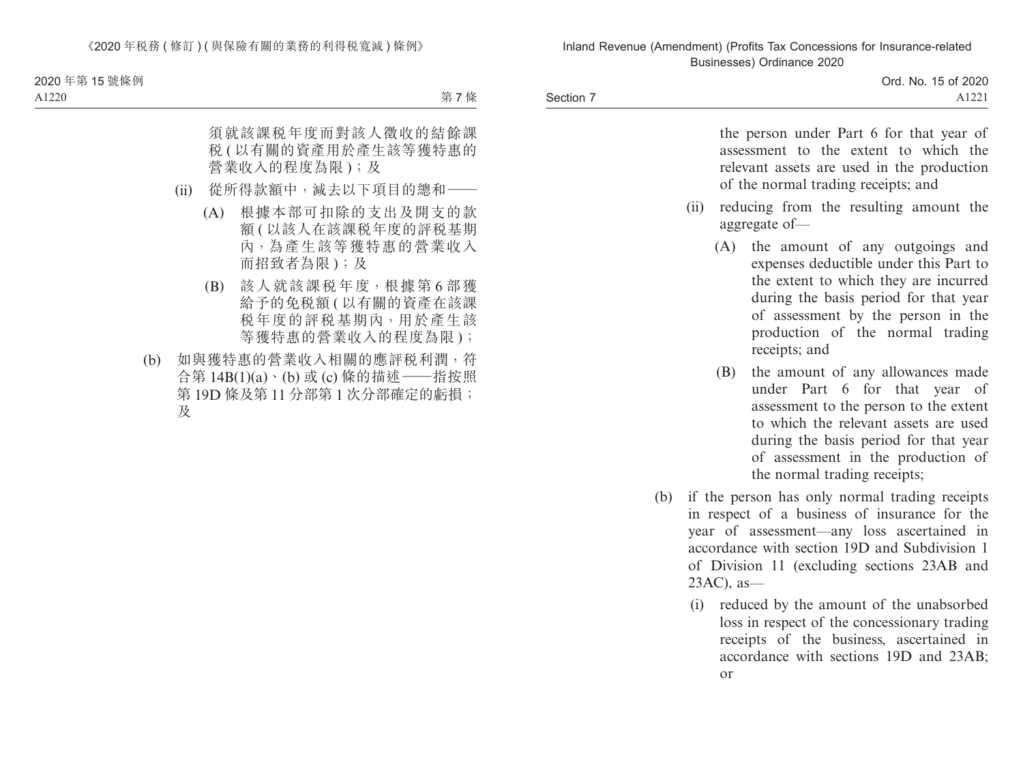Section 7

| Ord. No. 15 of 2020 |
|---------------------|
| A1221               |

the person under Part 6 for that year of assessment to the extent to which the relevant assets are used in the production of the normal trading receipts; and (ii) reducing from the resulting amount the aggregate of— (A) the amount of any outgoings and expenses deductible under this Part to the extent to which they are incurred during the basis period for that year of assessment by the person in the production of the normal trading receipts; and (B) the amount of any allowances made under Part 6 for that year of assessment to the person to the extent to which the relevant assets are used during the basis period for that year of assessment in the production of the normal trading receipts; (b) if the person has only normal trading receipts in respect of a business of insurance for the year of assessment—any loss ascertained in

accordance with section 19D and Subdivision 1 of Division 11 (excluding sections 23AB and 23AC), as—

(i) reduced by the amount of the unabsorbed loss in respect of the concessionary trading receipts of the business, ascertained in accordance with sections 19D and 23AB; or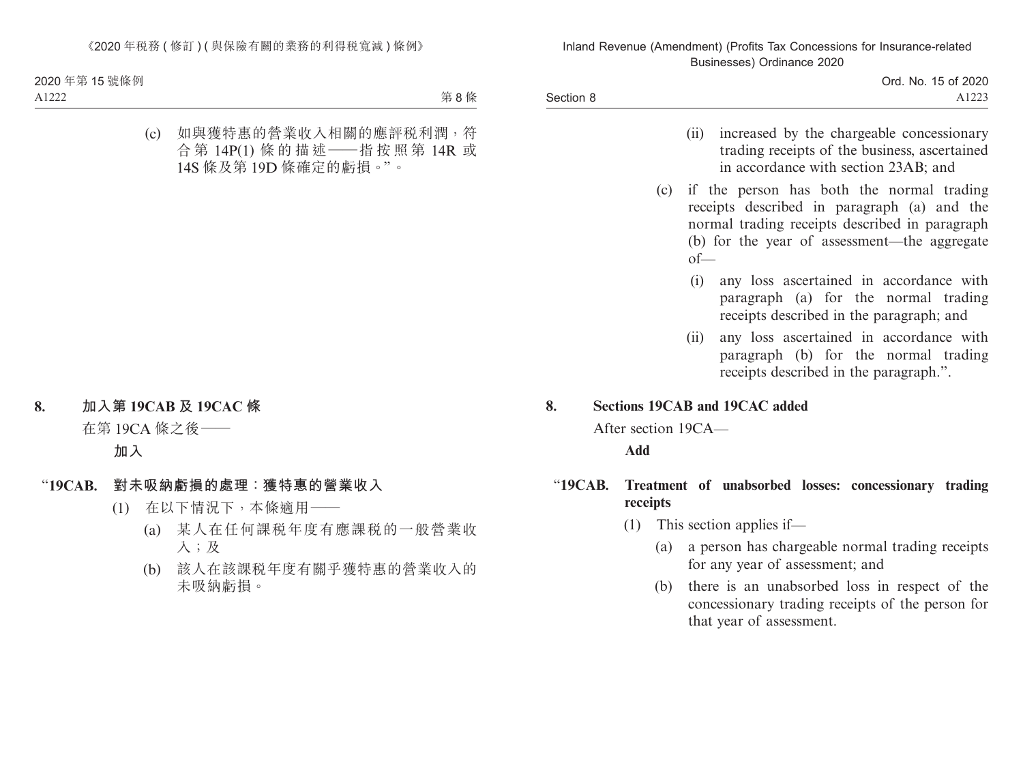|           | Ord. No. 15 of 2020 |
|-----------|---------------------|
| Section 8 | A1223               |

- (ii) increased by the chargeable concessionary trading receipts of the business, ascertained in accordance with section 23AB; and
- (c) if the person has both the normal trading receipts described in paragraph (a) and the normal trading receipts described in paragraph (b) for the year of assessment—the aggregate of—
	- (i) any loss ascertained in accordance with paragraph (a) for the normal trading receipts described in the paragraph; and
	- (ii) any loss ascertained in accordance with paragraph (b) for the normal trading receipts described in the paragraph.".

### **8. Sections 19CAB and 19CAC added**

After section 19CA—

- "**19CAB. Treatment of unabsorbed losses: concessionary trading receipts**
	- (1) This section applies if—
		- (a) a person has chargeable normal trading receipts for any year of assessment; and
		- (b) there is an unabsorbed loss in respect of the concessionary trading receipts of the person for that year of assessment.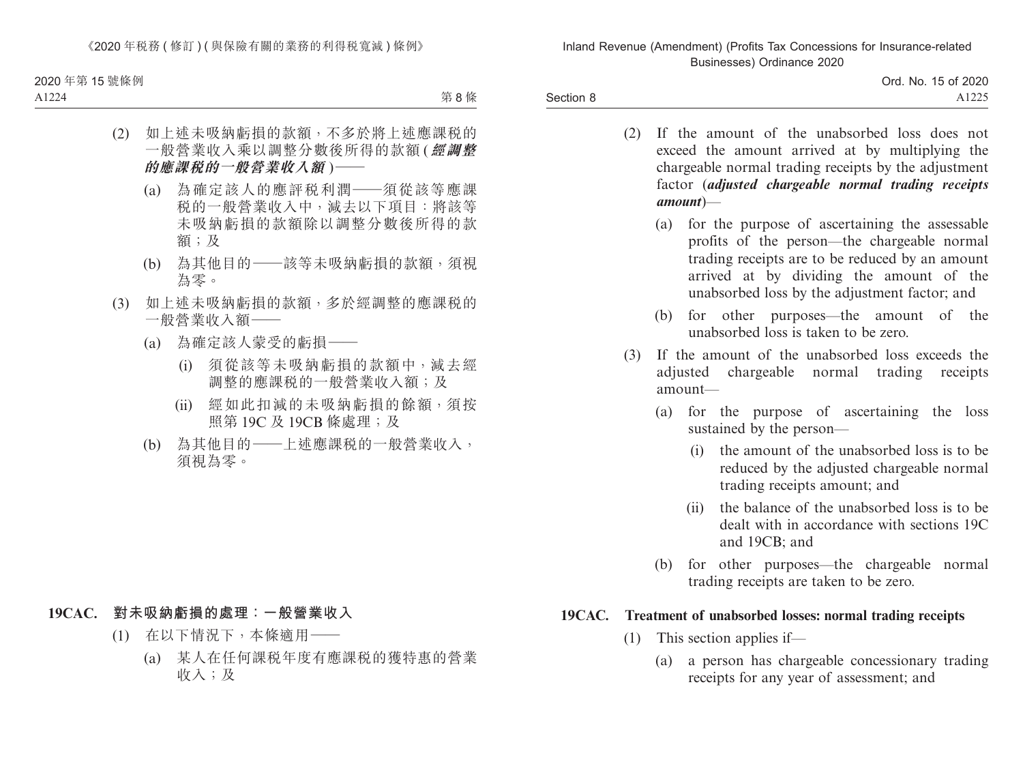Section 8

Ord. No. 15 of 2020 A1225

- (2) If the amount of the unabsorbed loss does not exceed the amount arrived at by multiplying the chargeable normal trading receipts by the adjustment factor (*adjusted chargeable normal trading receipts amount*)—
	- (a) for the purpose of ascertaining the assessable profits of the person—the chargeable normal trading receipts are to be reduced by an amount arrived at by dividing the amount of the unabsorbed loss by the adjustment factor; and
	- (b) for other purposes—the amount of the unabsorbed loss is taken to be zero.
- (3) If the amount of the unabsorbed loss exceeds the adjusted chargeable normal trading receipts amount—
	- (a) for the purpose of ascertaining the loss sustained by the person—
		- (i) the amount of the unabsorbed loss is to be reduced by the adjusted chargeable normal trading receipts amount; and
		- (ii) the balance of the unabsorbed loss is to be dealt with in accordance with sections 19C and 19CB; and
	- (b) for other purposes—the chargeable normal trading receipts are taken to be zero.

### **19CAC. Treatment of unabsorbed losses: normal trading receipts**

- (1) This section applies if—
	- (a) a person has chargeable concessionary trading receipts for any year of assessment; and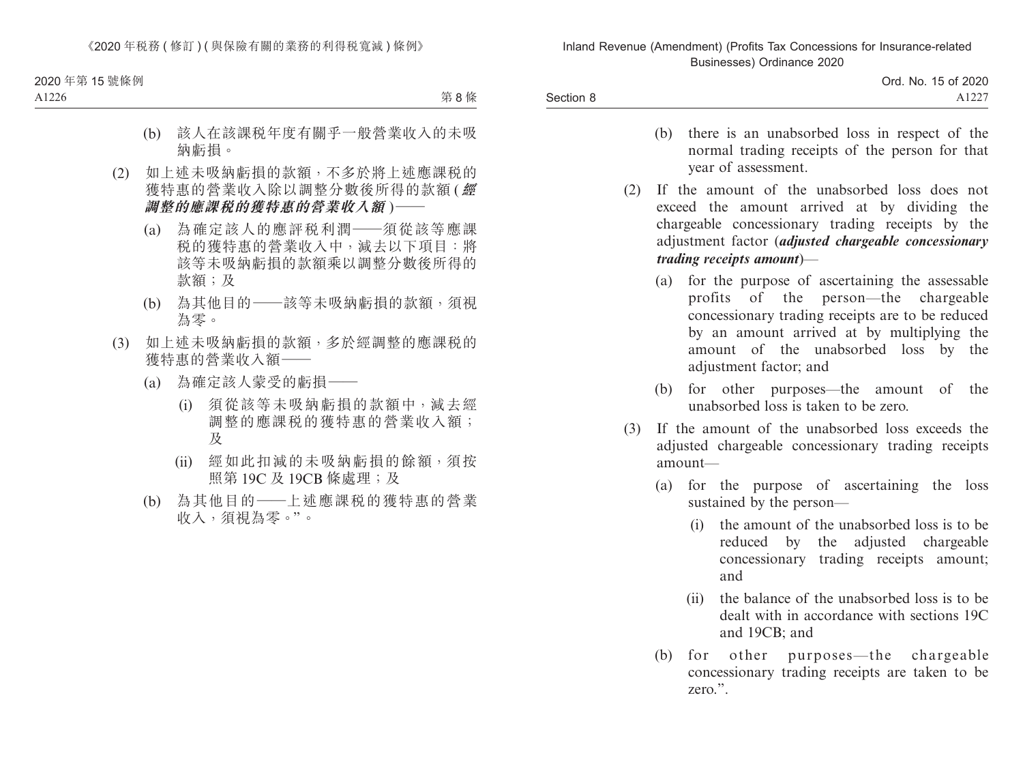Section 8

| Ord. No. 15 of 2020 |
|---------------------|
| A1227               |

- (b) there is an unabsorbed loss in respect of the normal trading receipts of the person for that year of assessment.
- (2) If the amount of the unabsorbed loss does not exceed the amount arrived at by dividing the chargeable concessionary trading receipts by the adjustment factor (*adjusted chargeable concessionary trading receipts amount*)—
	- (a) for the purpose of ascertaining the assessable profits of the person—the chargeable concessionary trading receipts are to be reduced by an amount arrived at by multiplying the amount of the unabsorbed loss by the adjustment factor; and
	- (b) for other purposes—the amount of the unabsorbed loss is taken to be zero.
- (3) If the amount of the unabsorbed loss exceeds the adjusted chargeable concessionary trading receipts amount—
	- (a) for the purpose of ascertaining the loss sustained by the person—
		- (i) the amount of the unabsorbed loss is to be reduced by the adjusted chargeable concessionary trading receipts amount; and
		- (ii) the balance of the unabsorbed loss is to be dealt with in accordance with sections 19C and 19CB; and
	- (b) for other purposes—the chargeable concessionary trading receipts are taken to be zero.".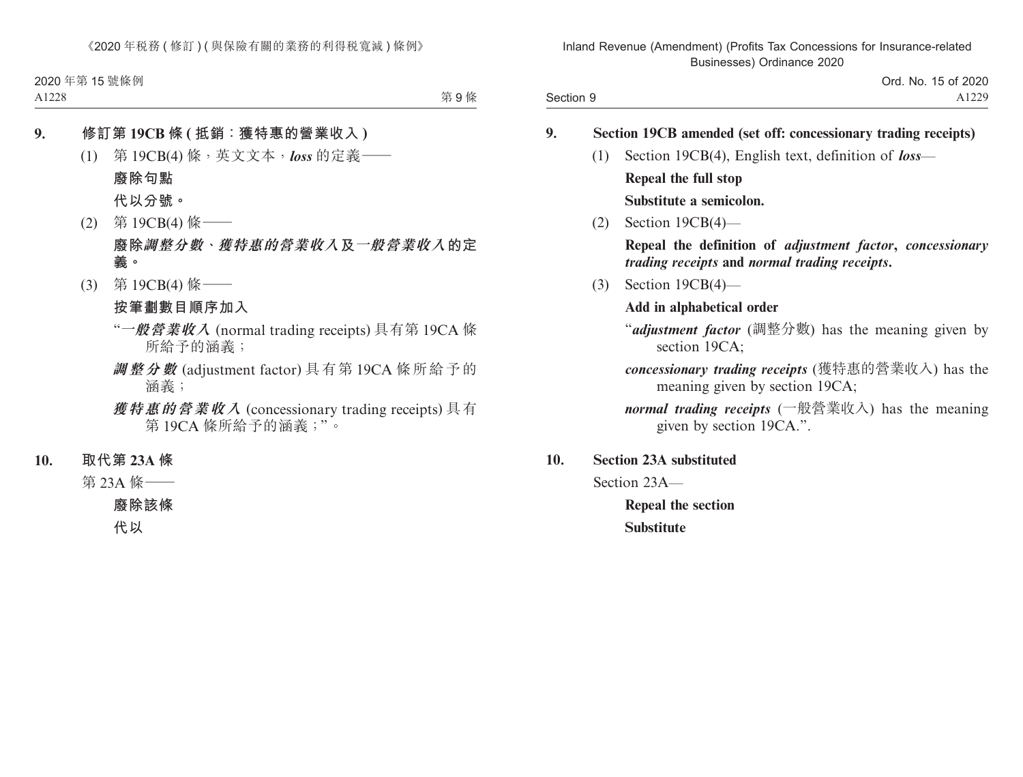> Ord. No. 15 of 2020 A1229

|     | Section 19CB amended (set off: concessionary trading receipts)                                                            |
|-----|---------------------------------------------------------------------------------------------------------------------------|
| (1) | Section 19CB(4), English text, definition of loss—                                                                        |
|     | Repeal the full stop                                                                                                      |
|     | Substitute a semicolon.                                                                                                   |
|     | $(2)$ Section 19CB $(4)$ —                                                                                                |
|     | Repeal the definition of <i>adjustment factor</i> , <i>concessionary</i><br>trading receipts and normal trading receipts. |
|     | $(3)$ Section 19CB $(4)$ —                                                                                                |
|     | Add in alphabetical order                                                                                                 |
|     | "adjustment factor (調整分數) has the meaning given by<br>section 19CA;                                                       |
|     | concessionary trading receipts (獲特惠的營業收入) has the<br>meaning given by section 19CA;                                       |
|     | <i>normal trading receipts</i> (一般營業收入) has the meaning<br>given by section 19CA.".                                       |

Section 23A—

Section 9

**Repeal the section Substitute**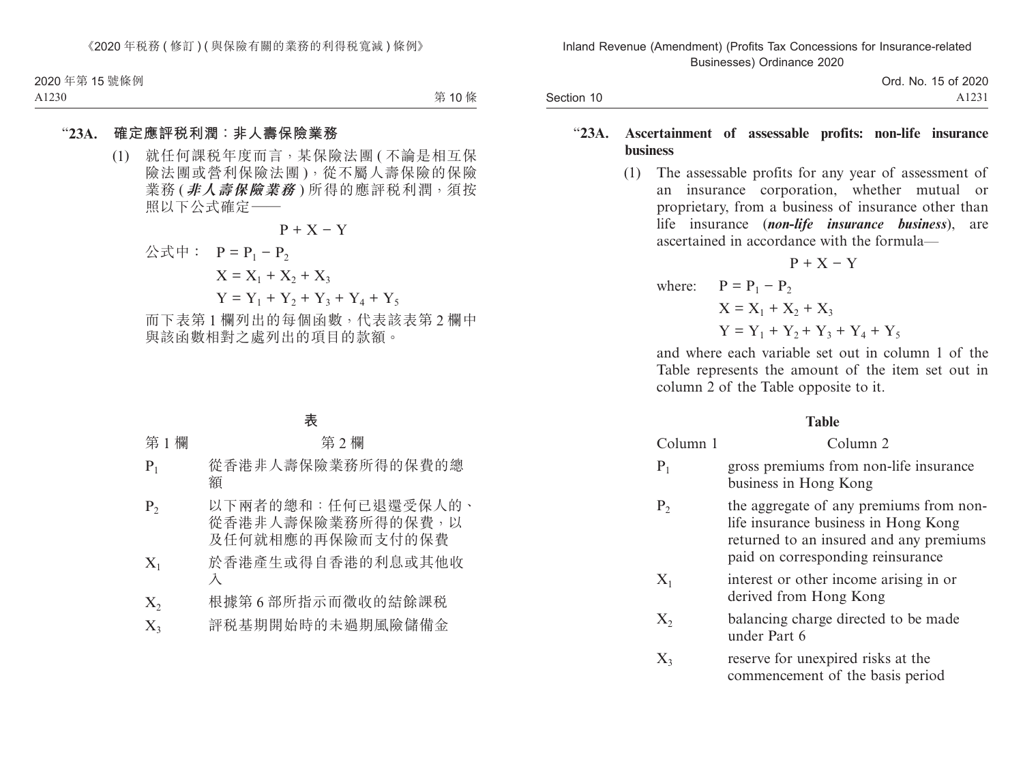Section 10

Ord. No. 15 of 2020 A1231

### "**23A. Ascertainment of assessable profits: non-life insurance business**

(1) The assessable profits for any year of assessment of an insurance corporation, whether mutual or proprietary, from a business of insurance other than life insurance (*non-life insurance business*), are ascertained in accordance with the formula—

 $P + X - Y$ 

where:  $P = P_1 - P_2$  $X = X_1 + X_2 + X_3$  $Y = Y_1 + Y_2 + Y_3 + Y_4 + Y_5$ 

and where each variable set out in column 1 of the Table represents the amount of the item set out in column 2 of the Table opposite to it.

#### **Table**

| Column 1             | Column <sub>2</sub>                                                                                                                                             |
|----------------------|-----------------------------------------------------------------------------------------------------------------------------------------------------------------|
| $P_1$                | gross premiums from non-life insurance<br>business in Hong Kong                                                                                                 |
| $P_{2}$              | the aggregate of any premiums from non-<br>life insurance business in Hong Kong<br>returned to an insured and any premiums<br>paid on corresponding reinsurance |
| $\rm X_1$            | interest or other income arising in or<br>derived from Hong Kong                                                                                                |
| $\Chi_{2}$           | balancing charge directed to be made<br>under Part 6                                                                                                            |
| $\Chi_{\mathfrak 3}$ | reserve for unexpired risks at the<br>commencement of the basis period                                                                                          |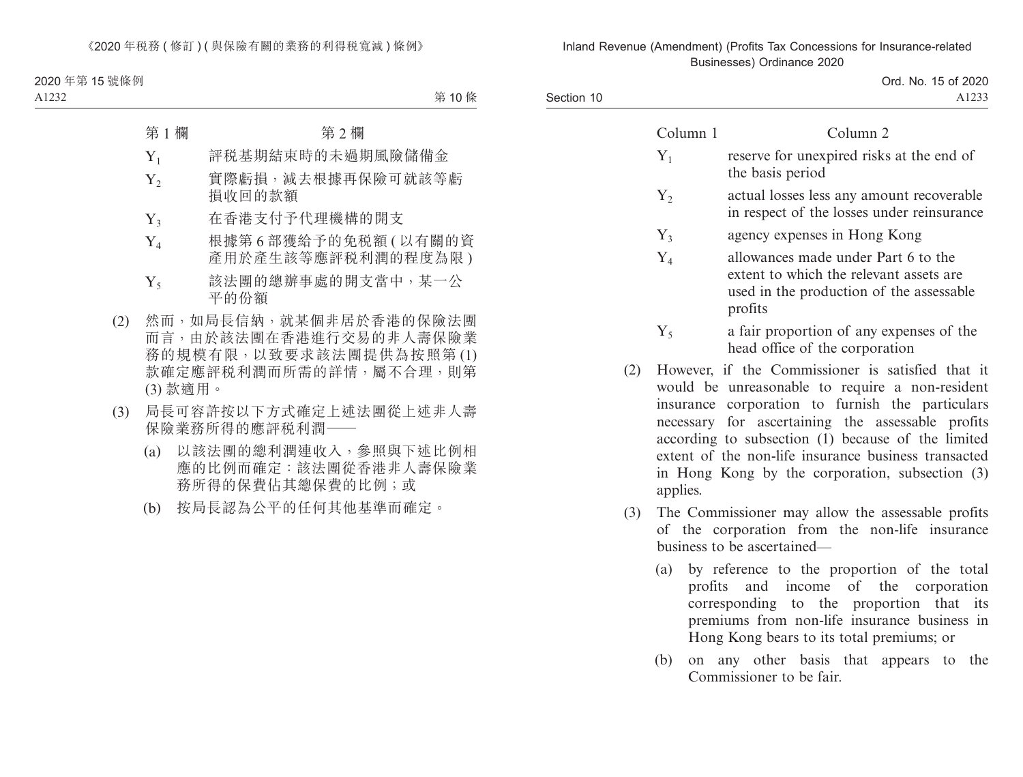Section 10

Ord. No. 15 of 2020 A1233

|     | Column 1 | Column 2                                                                                                                              |
|-----|----------|---------------------------------------------------------------------------------------------------------------------------------------|
|     | $Y_1$    | reserve for unexpired risks at the end of<br>the basis period                                                                         |
|     | $Y_2$    | actual losses less any amount recoverable<br>in respect of the losses under reinsurance                                               |
|     | $Y_3$    | agency expenses in Hong Kong                                                                                                          |
|     | $Y_4$    | allowances made under Part 6 to the<br>extent to which the relevant assets are<br>used in the production of the assessable<br>profits |
|     | $Y_{5}$  | a fair proportion of any expenses of the<br>head office of the corporation                                                            |
| (2) |          | However, if the Commissioner is satisfied that it<br>would be unreasonable to require a non-resident                                  |

- would be unreasonable to require a non-resident insurance corporation to furnish the particulars necessary for ascertaining the assessable profits according to subsection (1) because of the limited extent of the non-life insurance business transacted in Hong Kong by the corporation, subsection (3) applies.
- (3) The Commissioner may allow the assessable profits of the corporation from the non-life insurance business to be ascertained—
	- (a) by reference to the proportion of the total profits and income of the corporation corresponding to the proportion that its premiums from non-life insurance business in Hong Kong bears to its total premiums; or
	- (b) on any other basis that appears to the Commissioner to be fair.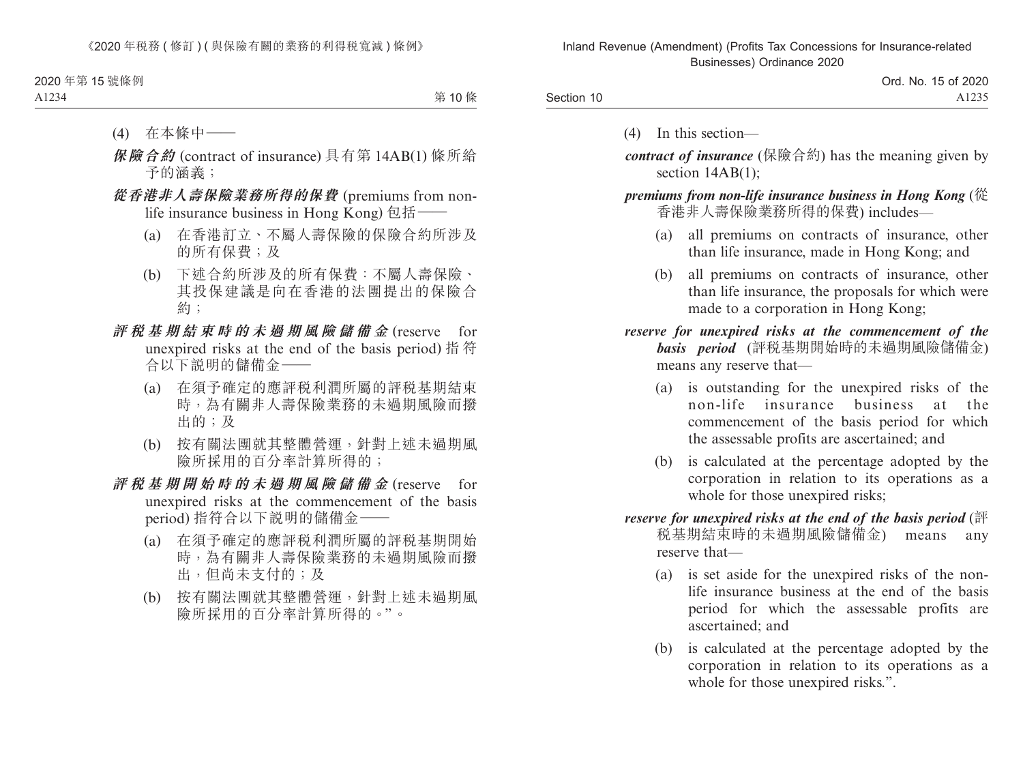|            | Ord. No. 15 of 2020 |
|------------|---------------------|
| Section 10 | A1235               |

(4) In this section—

*contract of insurance* (保險合約) has the meaning given by section  $14AB(1)$ :

*premiums from non-life insurance business in Hong Kong* (從 香港非人壽保險業務所得的保費) includes—

- (a) all premiums on contracts of insurance, other than life insurance, made in Hong Kong; and
- (b) all premiums on contracts of insurance, other than life insurance, the proposals for which were made to a corporation in Hong Kong;

*reserve for unexpired risks at the commencement of the basis period* (評稅基期開始時的未過期風險儲備金) means any reserve that—

- (a) is outstanding for the unexpired risks of the non-life insurance business at the commencement of the basis period for which the assessable profits are ascertained; and
- (b) is calculated at the percentage adopted by the corporation in relation to its operations as a whole for those unexpired risks;
- *reserve for unexpired risks at the end of the basis period* (評 稅基期結束時的未過期風險儲備金) means any reserve that—
	- (a) is set aside for the unexpired risks of the nonlife insurance business at the end of the basis period for which the assessable profits are ascertained; and
	- (b) is calculated at the percentage adopted by the corporation in relation to its operations as a whole for those unexpired risks.".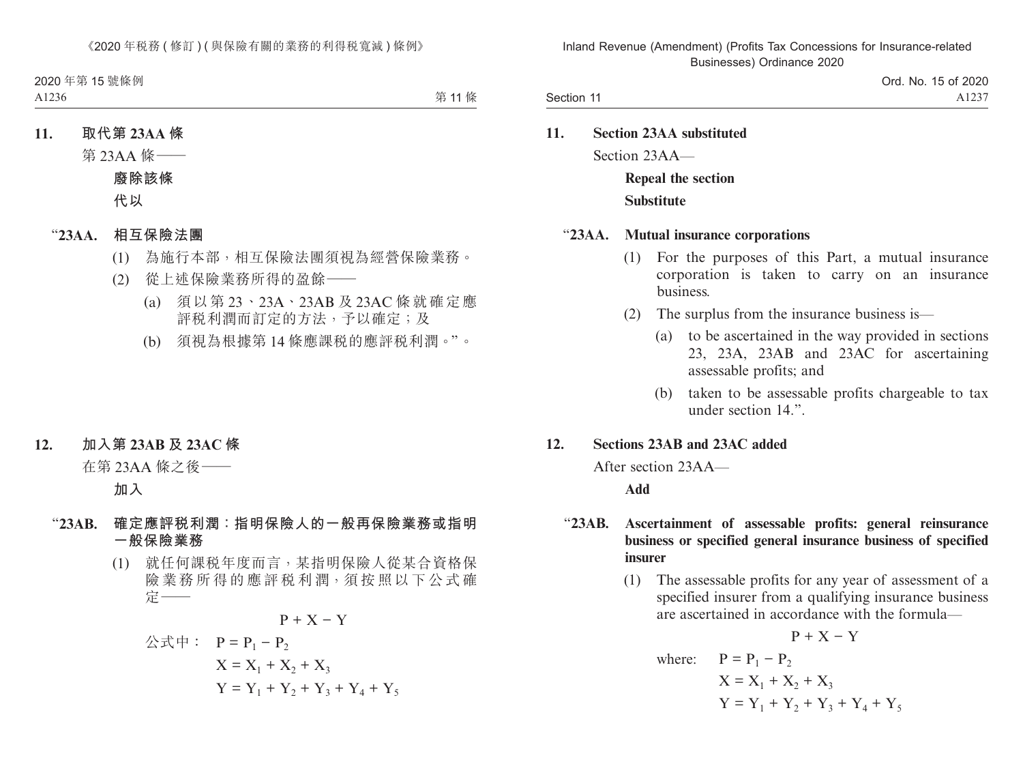**11. Section 23AA substituted** Section 23AA— **Repeal the section Substitute**

### "**23AA. Mutual insurance corporations**

- (1) For the purposes of this Part, a mutual insurance corporation is taken to carry on an insurance business.
- (2) The surplus from the insurance business is—
	- (a) to be ascertained in the way provided in sections 23, 23A, 23AB and 23AC for ascertaining assessable profits; and
	- (b) taken to be assessable profits chargeable to tax under section 14".

### **12. Sections 23AB and 23AC added**

After section 23AA—

**Add**

## "**23AB. Ascertainment of assessable profits: general reinsurance business or specified general insurance business of specified insurer**

(1) The assessable profits for any year of assessment of a specified insurer from a qualifying insurance business are ascertained in accordance with the formula—

 $P + X - Y$ 

where:  $P = P_1 - P_2$  $X = X_1 + X_2 + X_3$  $Y = Y_1 + Y_2 + Y_3 + Y_4 + Y_5$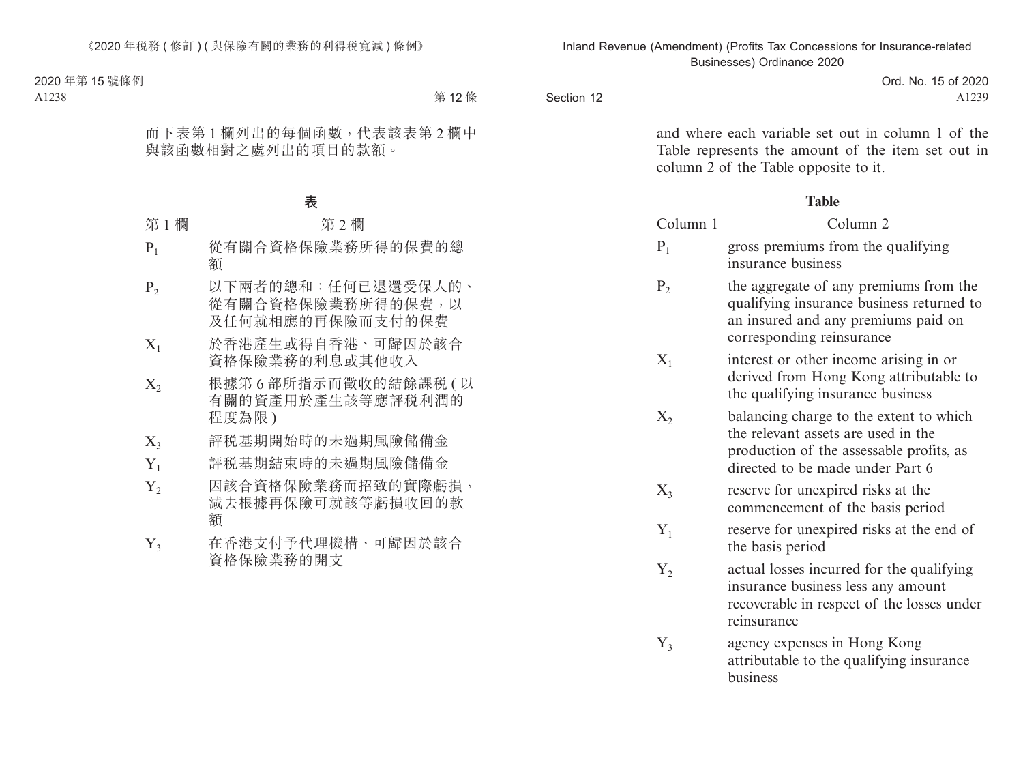|            | Ord. No. 15 of 2020 |
|------------|---------------------|
| Section 12 | A123                |

and where each variable set out in column 1 of the Table represents the amount of the item set out in column 2 of the Table opposite to it.

#### **Table**

| Column 1       | Column <sub>2</sub>                                                                                                                                            |
|----------------|----------------------------------------------------------------------------------------------------------------------------------------------------------------|
| $P_1$          | gross premiums from the qualifying<br>insurance business                                                                                                       |
| P <sub>2</sub> | the aggregate of any premiums from the<br>qualifying insurance business returned to<br>an insured and any premiums paid on<br>corresponding reinsurance        |
| $X_1$          | interest or other income arising in or<br>derived from Hong Kong attributable to<br>the qualifying insurance business                                          |
| $X_2$          | balancing charge to the extent to which<br>the relevant assets are used in the<br>production of the assessable profits, as<br>directed to be made under Part 6 |
| $X_3$          | reserve for unexpired risks at the<br>commencement of the basis period                                                                                         |
| $Y_1$          | reserve for unexpired risks at the end of<br>the basis period                                                                                                  |
| $Y_2$          | actual losses incurred for the qualifying<br>insurance business less any amount<br>recoverable in respect of the losses under<br>reinsurance                   |
| $Y_3$          | agency expenses in Hong Kong<br>attributable to the qualifying insurance                                                                                       |

business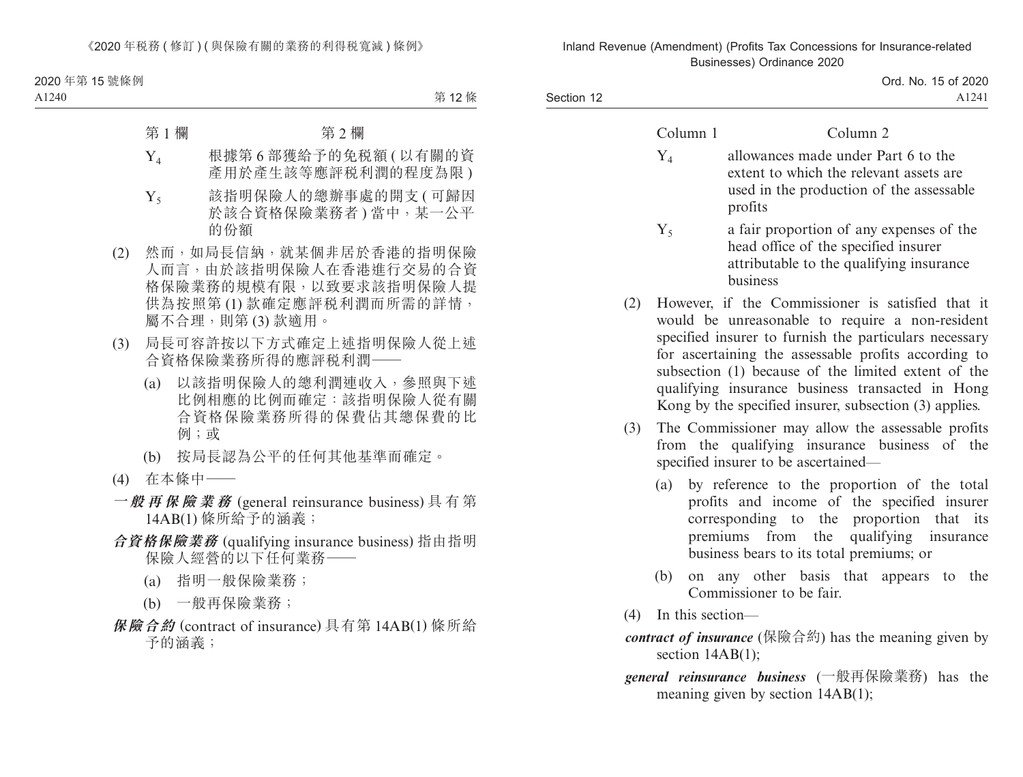Section 12

Ord. No. 15 of 2020 A1241

| allowances made under Part 6 to the<br>${\rm Y}_4$<br>extent to which the relevant assets are<br>used in the production of the assessable                                                                                                                                                                                                                                                          |  |
|----------------------------------------------------------------------------------------------------------------------------------------------------------------------------------------------------------------------------------------------------------------------------------------------------------------------------------------------------------------------------------------------------|--|
| profits                                                                                                                                                                                                                                                                                                                                                                                            |  |
| a fair proportion of any expenses of the<br>$Y_5$<br>head office of the specified insurer<br>attributable to the qualifying insurance<br><b>husiness</b>                                                                                                                                                                                                                                           |  |
| However, if the Commissioner is satisfied that it<br>(2)<br>would be unreasonable to require a non-resident<br>specified insurer to furnish the particulars necessary<br>for ascertaining the assessable profits according to<br>subsection (1) because of the limited extent of the<br>qualifying insurance business transacted in Hong<br>Kong by the specified insurer, subsection (3) applies. |  |
| The Commissioner may allow the assessable profits<br>(3)<br>from the qualifying insurance business of the<br>specified insurer to be ascertained-                                                                                                                                                                                                                                                  |  |
| by reference to the proportion of the total<br>(a)<br>profits and income of the specified insurer<br>corresponding to the proportion that its<br>premiums from the qualifying insurance<br>business bears to its total premiums; or                                                                                                                                                                |  |
| on any other basis that appears to the<br>(b)<br>Commissioner to be fair.                                                                                                                                                                                                                                                                                                                          |  |
| In this section-<br>(4)                                                                                                                                                                                                                                                                                                                                                                            |  |
| <i>contract of insurance</i> (保險合約) has the meaning given by<br>section $14AB(1)$ ;                                                                                                                                                                                                                                                                                                                |  |
| general reinsurance business (一般再保險業務) has the<br>meaning given by section $14AB(1)$ ;                                                                                                                                                                                                                                                                                                             |  |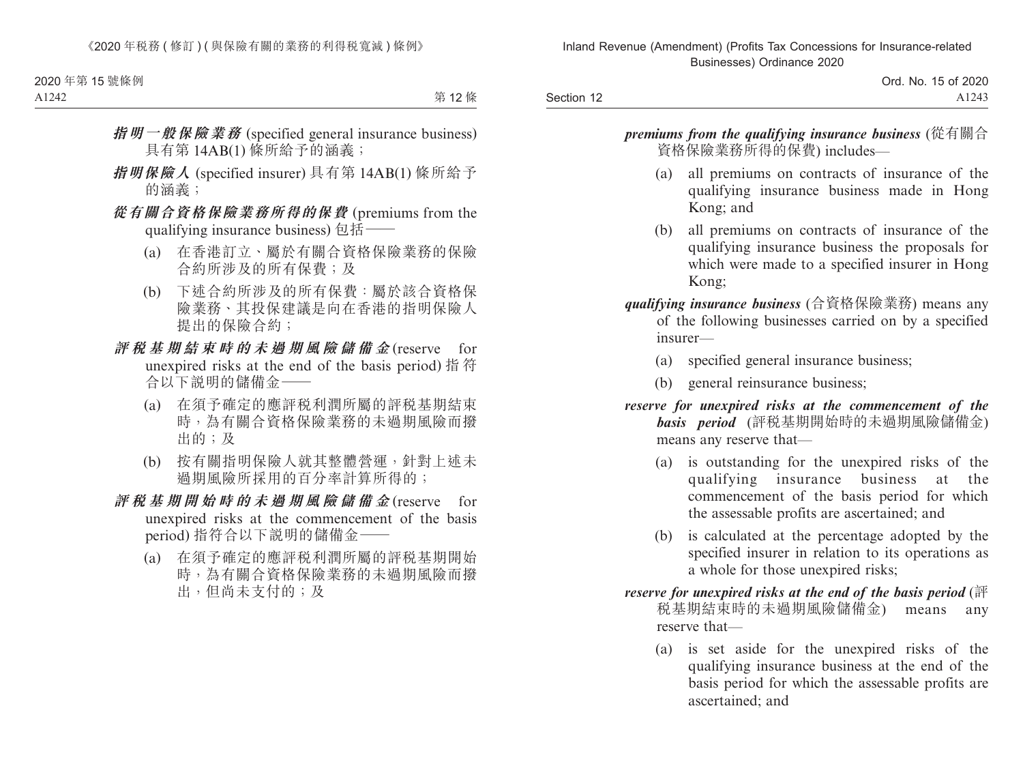> Ord. No. 15 of 2020 A1243

*premiums from the qualifying insurance business* (從有關合 資格保險業務所得的保費) includes—

- (a) all premiums on contracts of insurance of the qualifying insurance business made in Hong Kong; and
- (b) all premiums on contracts of insurance of the qualifying insurance business the proposals for which were made to a specified insurer in Hong Kong;
- *qualifying insurance business* (合資格保險業務) means any of the following businesses carried on by a specified insurer—
	- (a) specified general insurance business;
	- (b) general reinsurance business;
- *reserve for unexpired risks at the commencement of the basis period* (評稅基期開始時的未過期風險儲備金) means any reserve that—
	- (a) is outstanding for the unexpired risks of the qualifying insurance business at the commencement of the basis period for which the assessable profits are ascertained; and
	- (b) is calculated at the percentage adopted by the specified insurer in relation to its operations as a whole for those unexpired risks;
- *reserve for unexpired risks at the end of the basis period* (評 稅基期結束時的未過期風險儲備金) means any reserve that—
	- (a) is set aside for the unexpired risks of the qualifying insurance business at the end of the basis period for which the assessable profits are ascertained; and

Section 12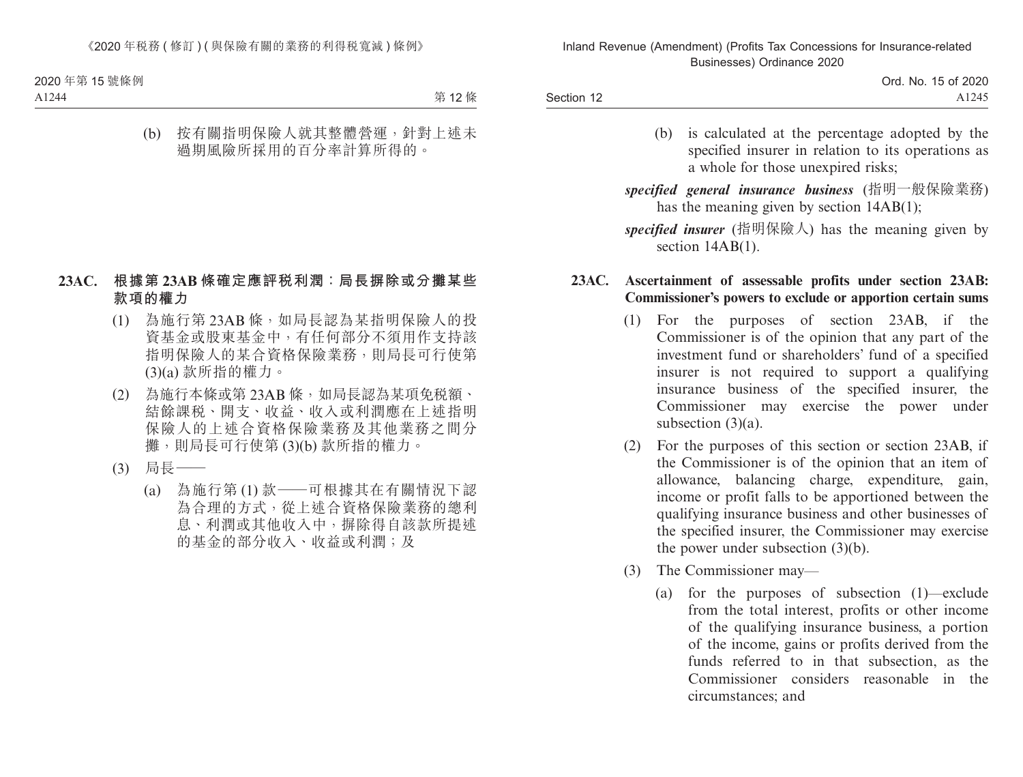- (b) is calculated at the percentage adopted by the specified insurer in relation to its operations as a whole for those unexpired risks;
- *specified general insurance business* (指明一般保險業務) has the meaning given by section 14AB(1);
- *specified insurer* (指明保險人) has the meaning given by section 14AB(1).

## **23AC. Ascertainment of assessable profits under section 23AB: Commissioner's powers to exclude or apportion certain sums**

- (1) For the purposes of section 23AB, if the Commissioner is of the opinion that any part of the investment fund or shareholders' fund of a specified insurer is not required to support a qualifying insurance business of the specified insurer, the Commissioner may exercise the power under subsection (3)(a).
- (2) For the purposes of this section or section 23AB, if the Commissioner is of the opinion that an item of allowance, balancing charge, expenditure, gain, income or profit falls to be apportioned between the qualifying insurance business and other businesses of the specified insurer, the Commissioner may exercise the power under subsection (3)(b).
- (3) The Commissioner may—
	- (a) for the purposes of subsection (1)—exclude from the total interest, profits or other income of the qualifying insurance business, a portion of the income, gains or profits derived from the funds referred to in that subsection, as the Commissioner considers reasonable in the circumstances; and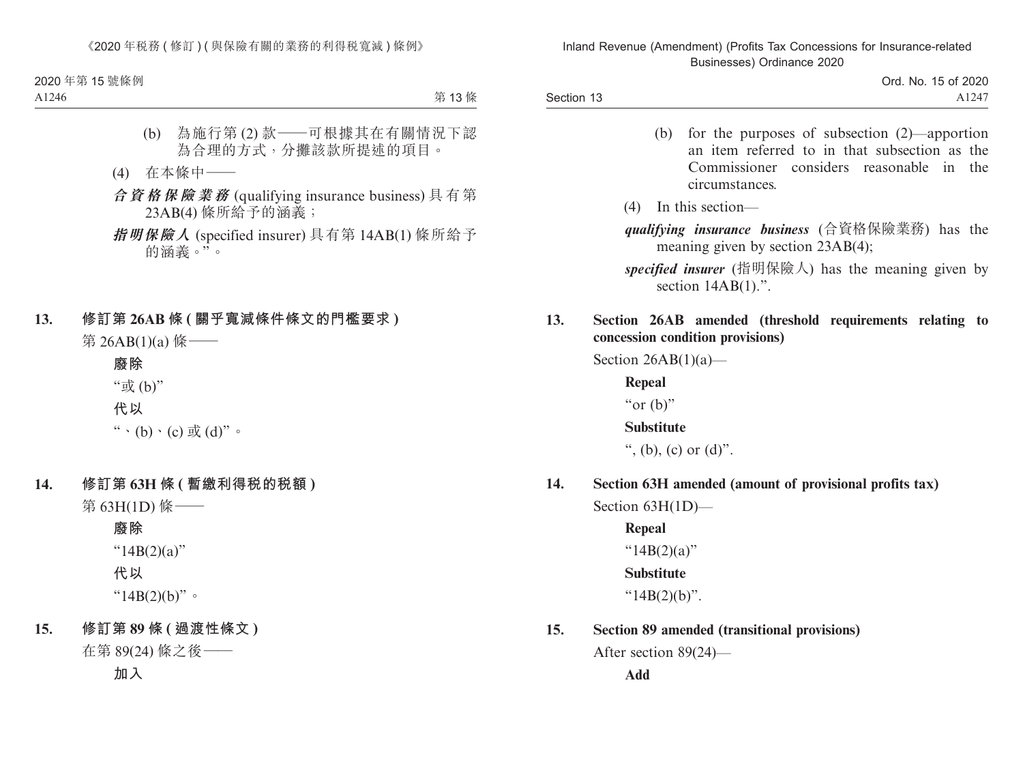Section 13

- (b) for the purposes of subsection (2)—apportion an item referred to in that subsection as the Commissioner considers reasonable in the circumstances.
- (4) In this section—
- *qualifying insurance business* (合資格保險業務) has the meaning given by section 23AB(4);
- *specified insurer* (指明保險人) has the meaning given by section  $14AB(1)$ .".
- **13. Section 26AB amended (threshold requirements relating to concession condition provisions)**

Section  $26AB(1)(a)$ —

**Repeal**

" $or$  (b)"

**Substitute**

", (b), (c) or  $(d)$ ".

**14. Section 63H amended (amount of provisional profits tax)**

Section 63H(1D)—

**Repeal** " $14B(2)(a)$ " **Substitute** " $14B(2)(b)$ ".

**15. Section 89 amended (transitional provisions)**

After section 89(24)—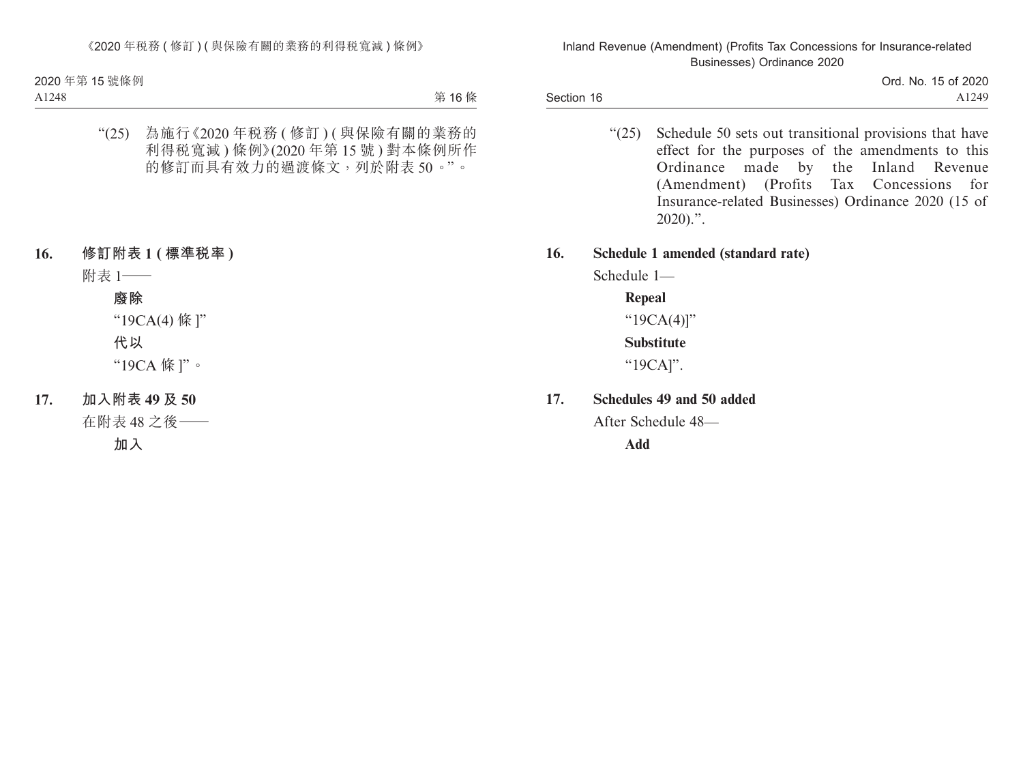Section 16 Ord. No. 15 of 2020 A1249

> "(25) Schedule 50 sets out transitional provisions that have effect for the purposes of the amendments to this Ordinance made by the Inland Revenue (Amendment) (Profits Tax Concessions for Insurance-related Businesses) Ordinance 2020 (15 of  $2020$ ).".

### **16. Schedule 1 amended (standard rate)**

Schedule 1—

**Repeal** "19CA(4)]" **Substitute** "19CA]".

**17. Schedules 49 and 50 added**

After Schedule 48—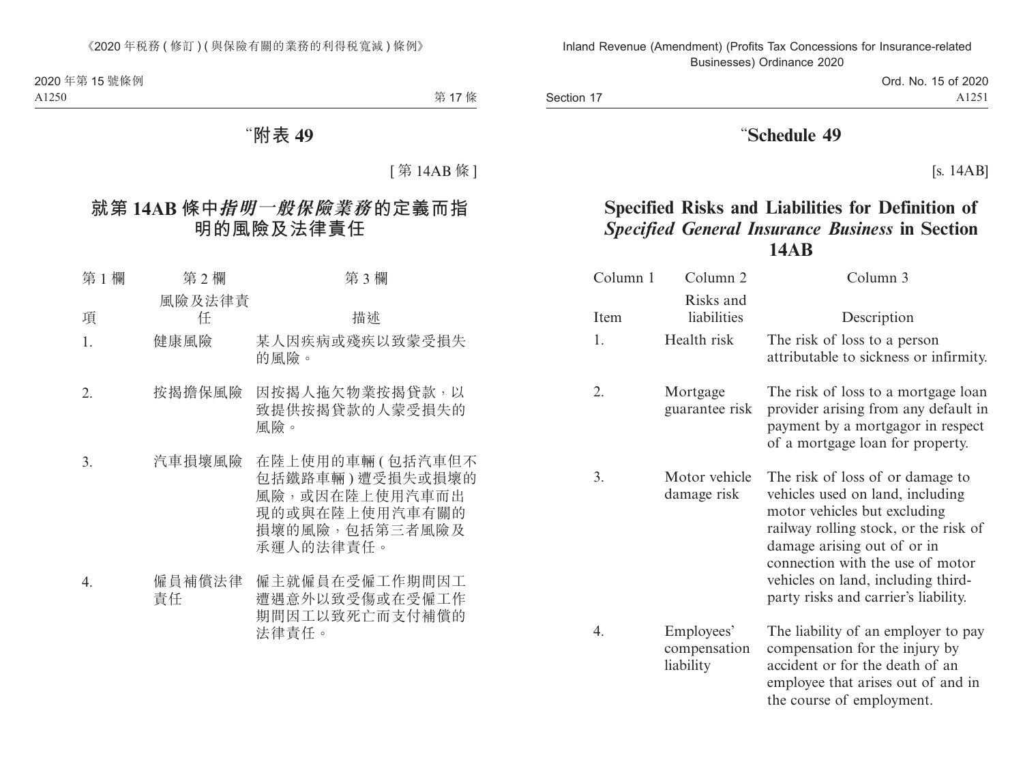Ord. No. 15 of 2020 A1251

# "**Schedule 49**

[s. 14AB]

# **Specified Risks and Liabilities for Definition of** *Specified General Insurance Business* **in Section 14AB**

| Column 1 | Column 2                                | Column 3                                                                                                                                                                                                                                                                                       |
|----------|-----------------------------------------|------------------------------------------------------------------------------------------------------------------------------------------------------------------------------------------------------------------------------------------------------------------------------------------------|
| Item     | Risks and<br>liabilities                | Description                                                                                                                                                                                                                                                                                    |
| 1.       | Health risk                             | The risk of loss to a person<br>attributable to sickness or infirmity.                                                                                                                                                                                                                         |
| 2.       | Mortgage<br>guarantee risk              | The risk of loss to a mortgage loan<br>provider arising from any default in<br>payment by a mortgagor in respect<br>of a mortgage loan for property.                                                                                                                                           |
| 3.       | Motor vehicle<br>damage risk            | The risk of loss of or damage to<br>vehicles used on land, including<br>motor vehicles but excluding<br>railway rolling stock, or the risk of<br>damage arising out of or in<br>connection with the use of motor<br>vehicles on land, including third-<br>party risks and carrier's liability. |
| 4.       | Employees'<br>compensation<br>liability | The liability of an employer to pay<br>compensation for the injury by<br>accident or for the death of an<br>employee that arises out of and in<br>the course of employment.                                                                                                                    |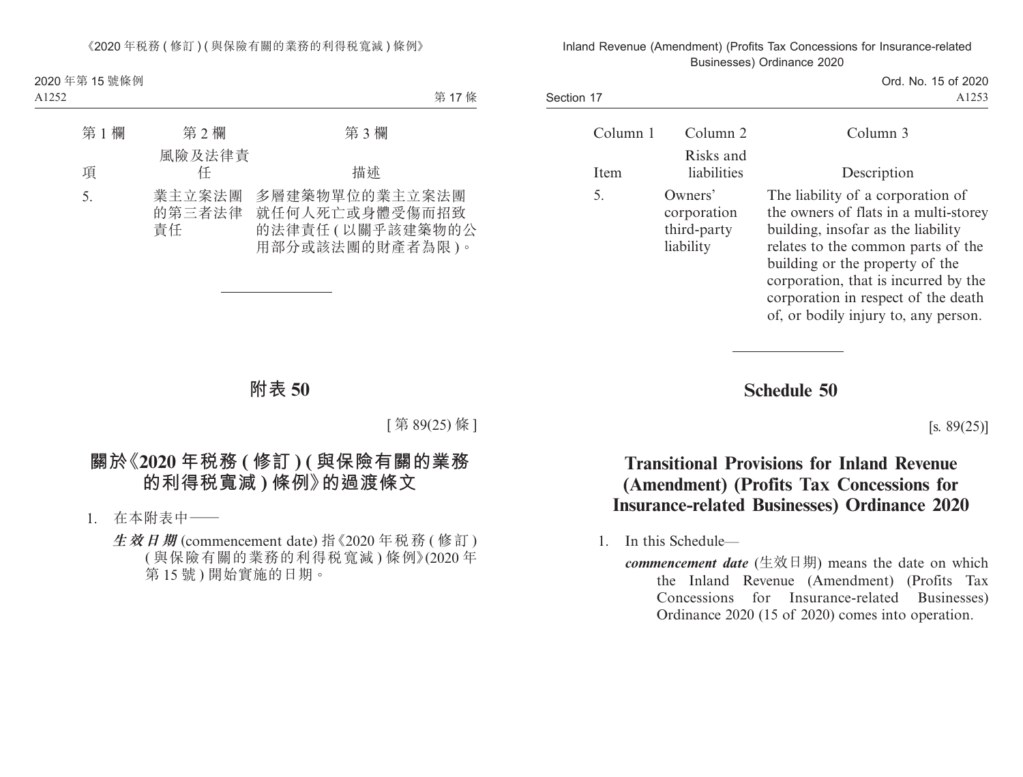> Ord. No. 15 of 2020 A1253

| Column 1 | Column 2                                           | Column 3                                                                                                                                                                                                                                                                                                         |
|----------|----------------------------------------------------|------------------------------------------------------------------------------------------------------------------------------------------------------------------------------------------------------------------------------------------------------------------------------------------------------------------|
| Item     | Risks and<br>liabilities                           | Description                                                                                                                                                                                                                                                                                                      |
| 5.       | Owners'<br>corporation<br>third-party<br>liability | The liability of a corporation of<br>the owners of flats in a multi-storey<br>building, insofar as the liability<br>relates to the common parts of the<br>building or the property of the<br>corporation, that is incurred by the<br>corporation in respect of the death<br>of, or bodily injury to, any person. |

**Schedule 50**

 $[s. 89(25)]$ 

# **Transitional Provisions for Inland Revenue (Amendment) (Profits Tax Concessions for Insurance-related Businesses) Ordinance 2020**

1. In this Schedule—

Section 17

*commencement date* (生效日期) means the date on which the Inland Revenue (Amendment) (Profits Tax Concessions for Insurance-related Businesses) Ordinance 2020 (15 of 2020) comes into operation.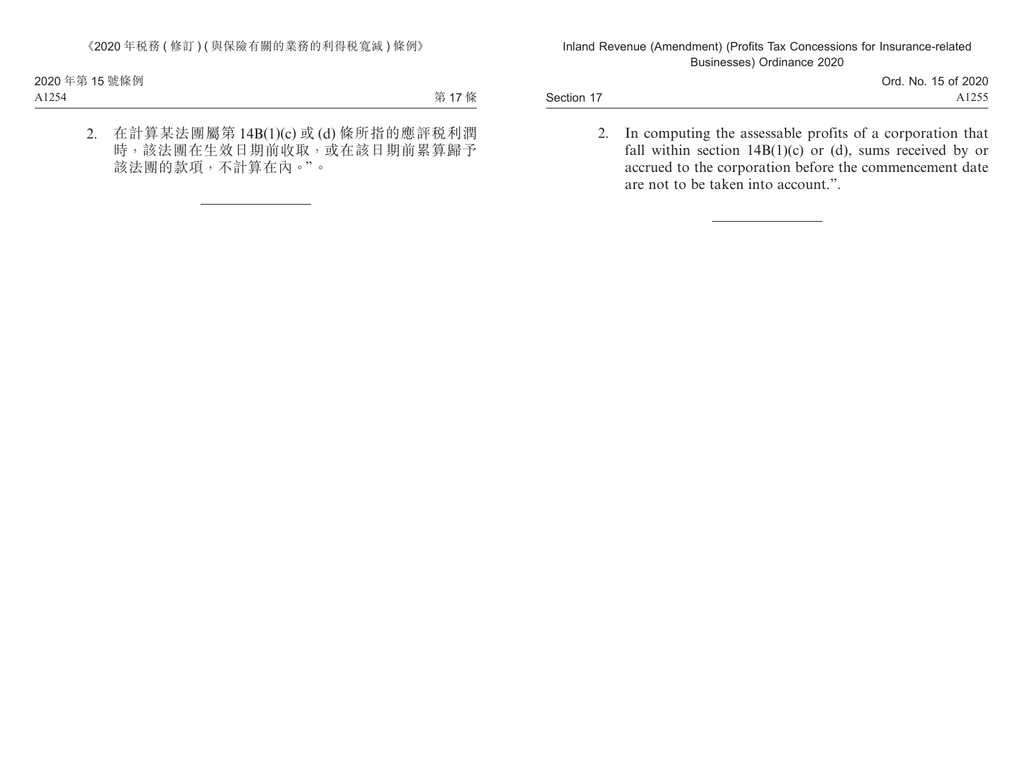Section 17

Ord. No. 15 of 2020 A1255

2. In computing the assessable profits of a corporation that fall within section  $14B(1)(c)$  or (d), sums received by or accrued to the corporation before the commencement date are not to be taken into account.".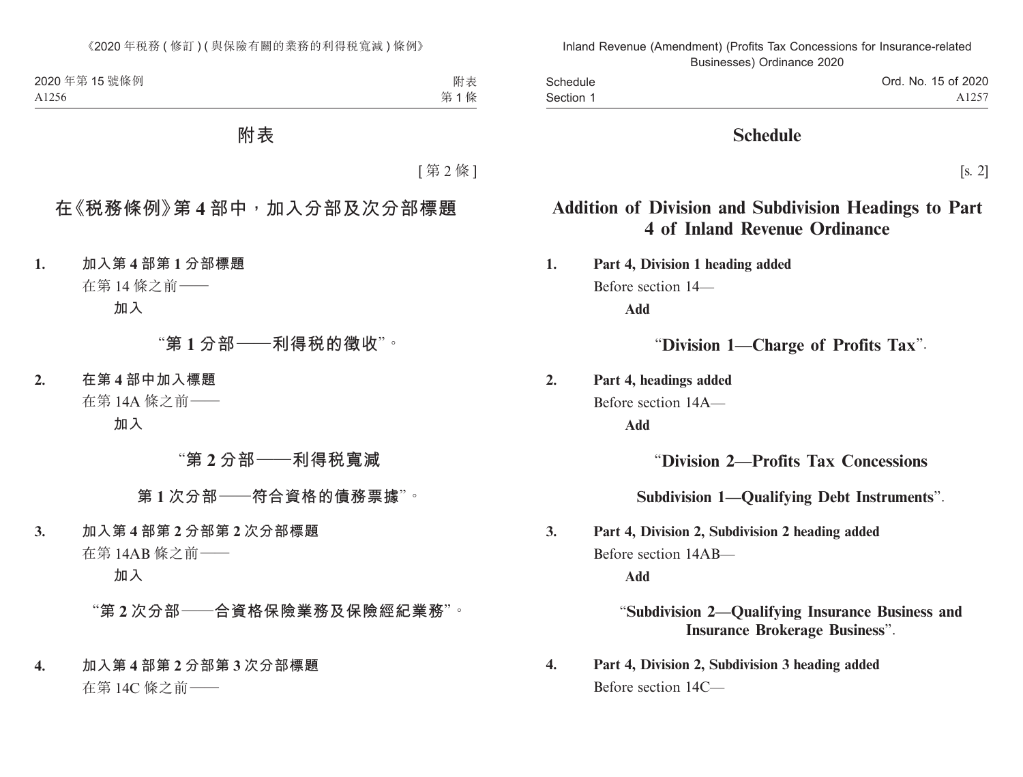| Schedule  |  |
|-----------|--|
| Section 1 |  |

# **Schedule**

[s. 2]

# **Addition of Division and Subdivision Headings to Part 4 of Inland Revenue Ordinance**

**1. Part 4, Division 1 heading added** Before section 14— **Add**

"**Division 1—Charge of Profits Tax**".

**2. Part 4, headings added**

Before section 14A—

**Add**

# "**Division 2—Profits Tax Concessions**

# **Subdivision 1—Qualifying Debt Instruments**".

**3. Part 4, Division 2, Subdivision 2 heading added** Before section 14AB—

**Add**

"**Subdivision 2—Qualifying Insurance Business and Insurance Brokerage Business**".

**4. Part 4, Division 2, Subdivision 3 heading added** Before section 14C—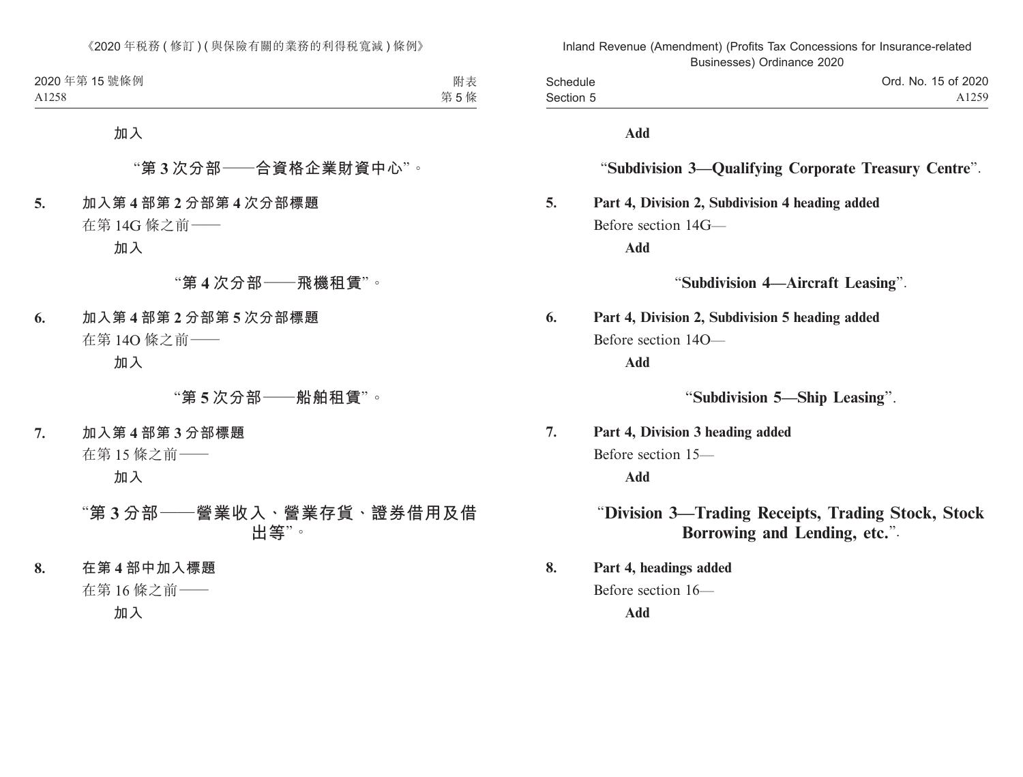| Schedule  | Ord. No. 15 of 2020 |
|-----------|---------------------|
| Section 5 | A <sub>1259</sub>   |
|           |                     |

**Add**

## "**Subdivision 3—Qualifying Corporate Treasury Centre**".

## **5. Part 4, Division 2, Subdivision 4 heading added** Before section 14G—

**Add**

"**Subdivision 4—Aircraft Leasing**".

**6. Part 4, Division 2, Subdivision 5 heading added** Before section 14O—

**Add**

"**Subdivision 5—Ship Leasing**".

**7. Part 4, Division 3 heading added** Before section 15— **Add**

## "**Division 3—Trading Receipts, Trading Stock, Stock Borrowing and Lending, etc.**".

**8. Part 4, headings added** Before section 16—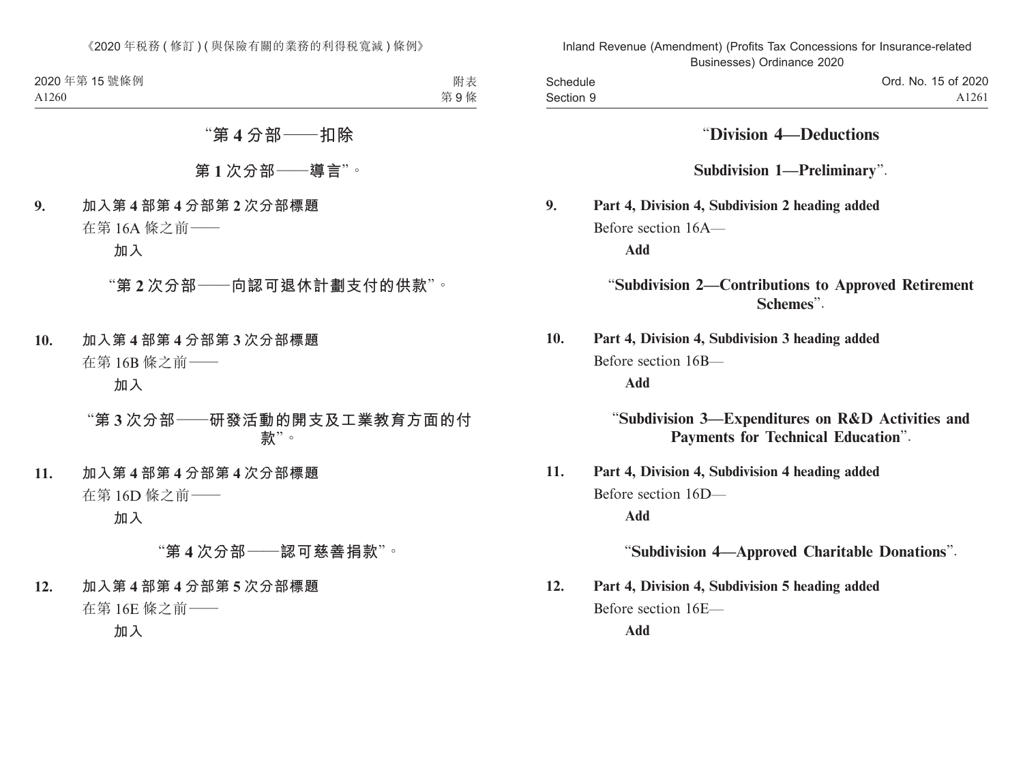| Schedule  |  |
|-----------|--|
| Section 9 |  |

"**Division 4—Deductions**

**Subdivision 1—Preliminary**".

**9. Part 4, Division 4, Subdivision 2 heading added** Before section 16A—

**Add**

## "**Subdivision 2—Contributions to Approved Retirement Schemes**".

**10. Part 4, Division 4, Subdivision 3 heading added** Before section 16B— **Add**

> "**Subdivision 3—Expenditures on R&D Activities and Payments for Technical Education**".

**11. Part 4, Division 4, Subdivision 4 heading added** Before section 16D—

**Add**

"**Subdivision 4—Approved Charitable Donations**".

**12. Part 4, Division 4, Subdivision 5 heading added** Before section 16E—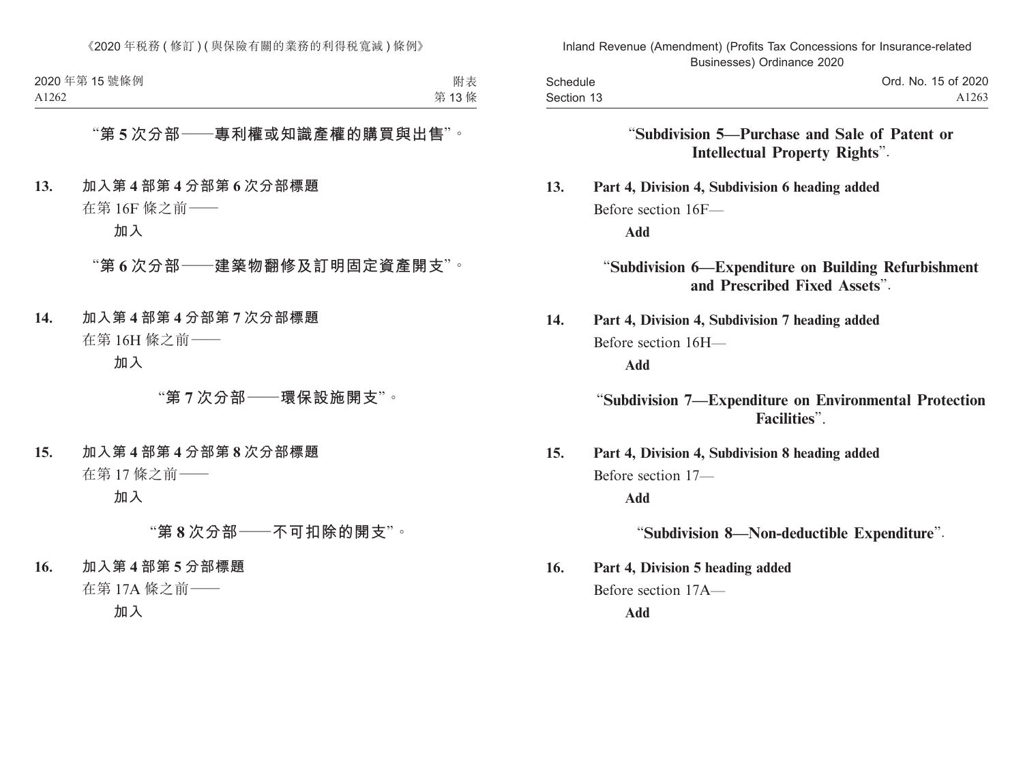| Schedule   |  |
|------------|--|
| Section 13 |  |

## "**Subdivision 5—Purchase and Sale of Patent or Intellectual Property Rights**".

**13. Part 4, Division 4, Subdivision 6 heading added** Before section 16F—

**Add**

"**Subdivision 6—Expenditure on Building Refurbishment and Prescribed Fixed Assets**".

**14. Part 4, Division 4, Subdivision 7 heading added** Before section 16H—

**Add**

## "**Subdivision 7—Expenditure on Environmental Protection Facilities**".

**15. Part 4, Division 4, Subdivision 8 heading added** Before section 17—

**Add**

"**Subdivision 8—Non-deductible Expenditure**".

**16. Part 4, Division 5 heading added** Before section 17A—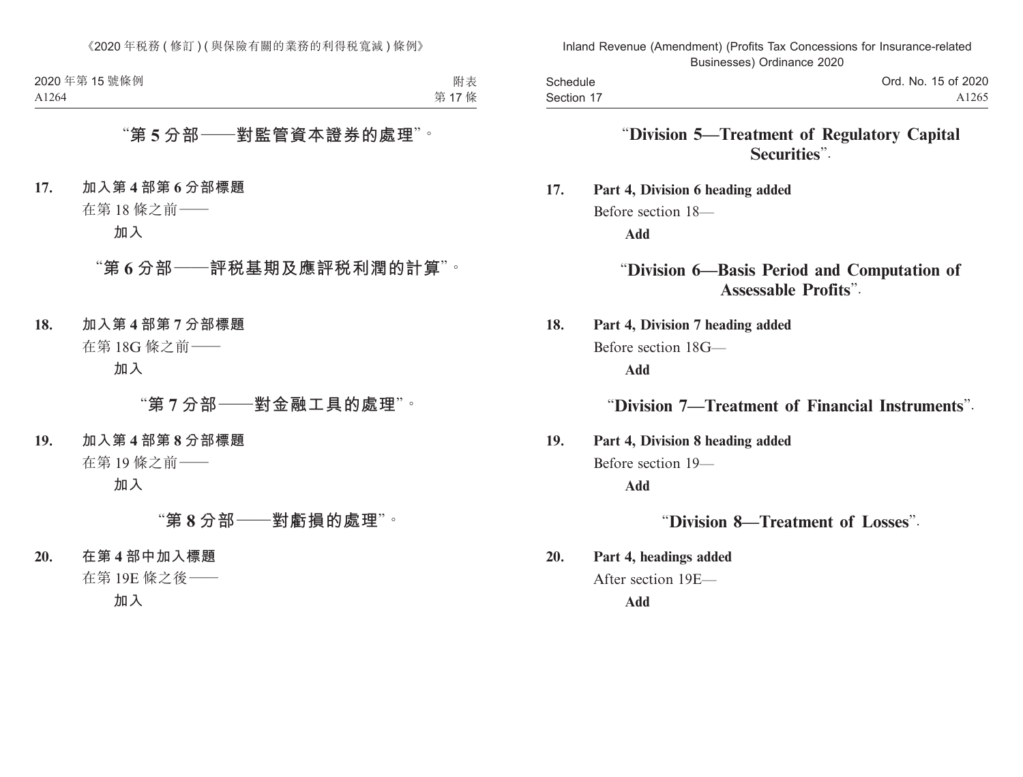**Schedule** Section 17

# "**Division 5—Treatment of Regulatory Capital Securities**".

**17. Part 4, Division 6 heading added** Before section 18— **Add**

## "**Division 6—Basis Period and Computation of Assessable Profits**".

**18. Part 4, Division 7 heading added** Before section 18G—

**Add**

"**Division 7—Treatment of Financial Instruments**".

**19. Part 4, Division 8 heading added** Before section 19— **Add**

"**Division 8—Treatment of Losses**".

**20. Part 4, headings added** After section 19E—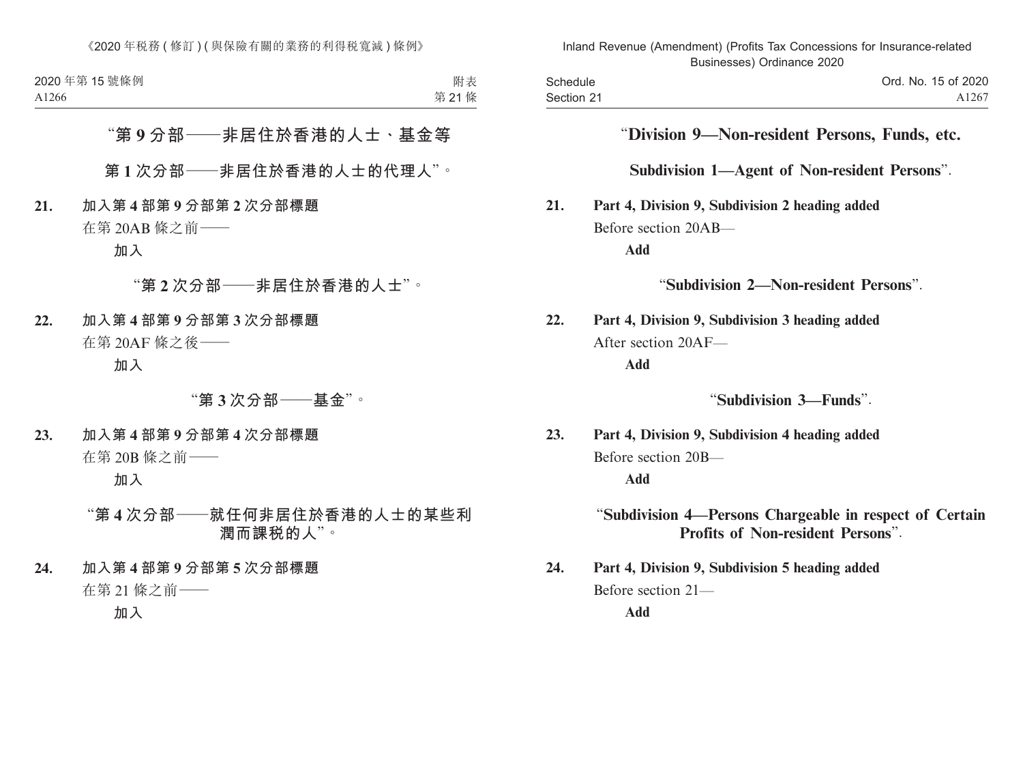## "**Division 9—Non-resident Persons, Funds, etc.**

**Subdivision 1—Agent of Non-resident Persons**".

**21. Part 4, Division 9, Subdivision 2 heading added** Before section 20AB—

**Add**

"**Subdivision 2—Non-resident Persons**".

**22. Part 4, Division 9, Subdivision 3 heading added** After section 20AF—

**Add**

"**Subdivision 3—Funds**".

**23. Part 4, Division 9, Subdivision 4 heading added** Before section 20B—

**Add**

"**Subdivision 4—Persons Chargeable in respect of Certain Profits of Non-resident Persons**".

**24. Part 4, Division 9, Subdivision 5 heading added** Before section 21— **Add**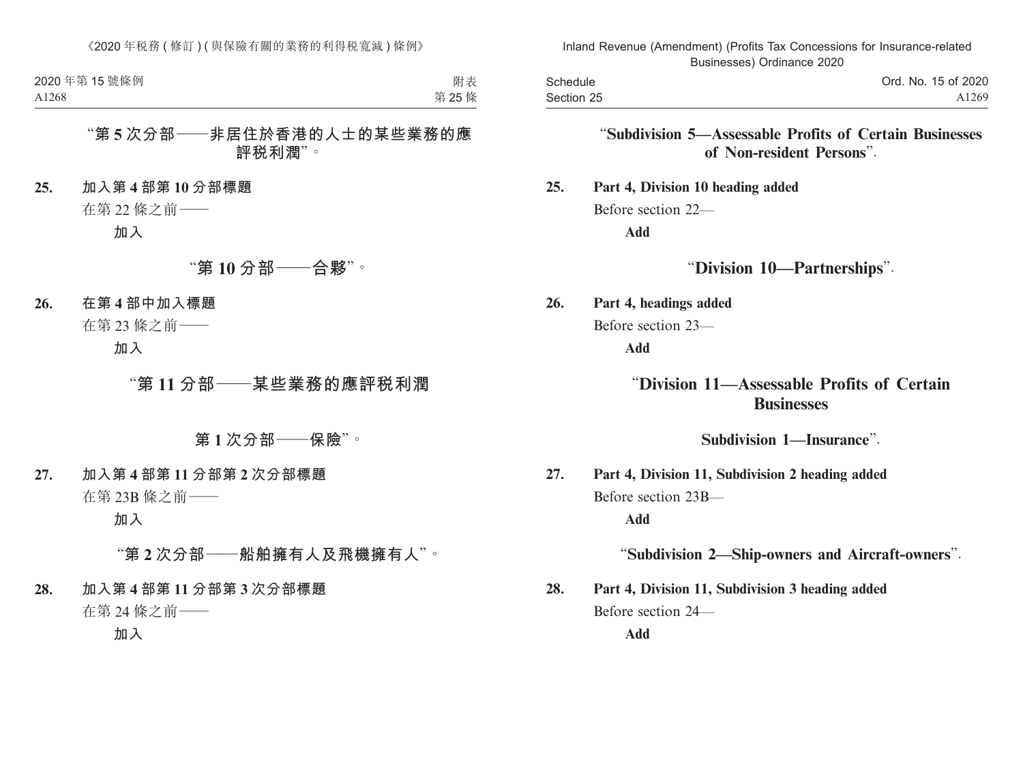| Schedule   |  |
|------------|--|
| Section 25 |  |

## "**Subdivision 5—Assessable Profits of Certain Businesses of Non-resident Persons**".

# **25. Part 4, Division 10 heading added** Before section 22—

**Add**

# "**Division 10—Partnerships**".

**26. Part 4, headings added** Before section 23—

**Add**

# "**Division 11—Assessable Profits of Certain Businesses**

**Subdivision 1—Insurance**".

**27. Part 4, Division 11, Subdivision 2 heading added** Before section 23B—

**Add**

## "**Subdivision 2—Ship-owners and Aircraft-owners**".

**28. Part 4, Division 11, Subdivision 3 heading added** Before section 24— **Add**